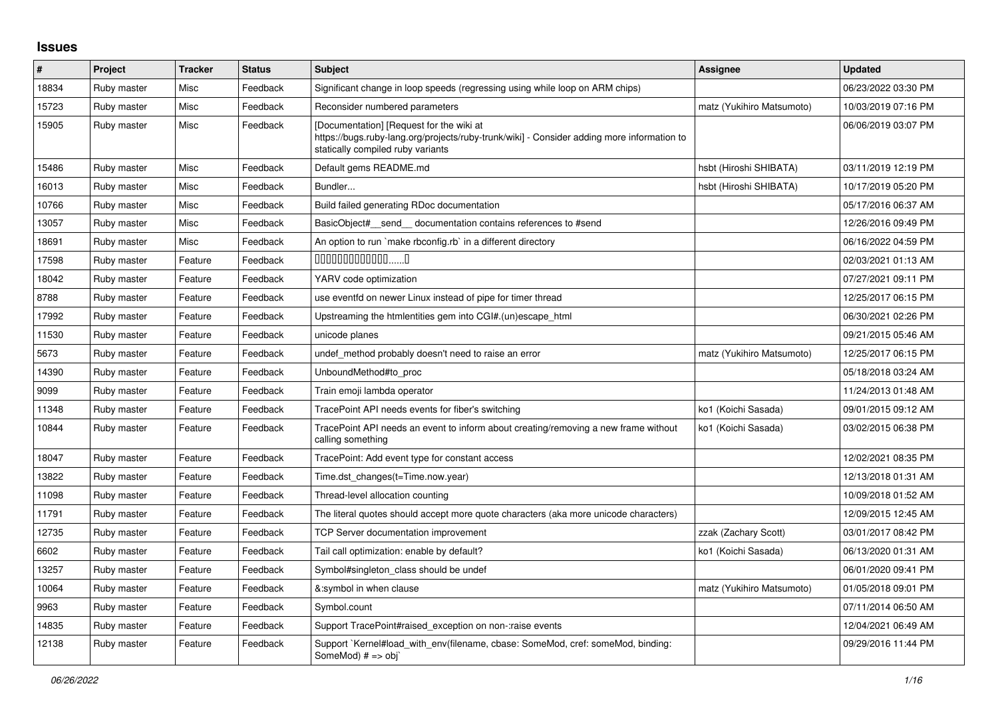## **Issues**

| #     | Project     | <b>Tracker</b> | <b>Status</b> | <b>Subject</b>                                                                                                                                                              | <b>Assignee</b>           | <b>Updated</b>      |
|-------|-------------|----------------|---------------|-----------------------------------------------------------------------------------------------------------------------------------------------------------------------------|---------------------------|---------------------|
| 18834 | Ruby master | Misc           | Feedback      | Significant change in loop speeds (regressing using while loop on ARM chips)                                                                                                |                           | 06/23/2022 03:30 PM |
| 15723 | Ruby master | Misc           | Feedback      | Reconsider numbered parameters                                                                                                                                              | matz (Yukihiro Matsumoto) | 10/03/2019 07:16 PM |
| 15905 | Ruby master | Misc           | Feedback      | [Documentation] [Request for the wiki at<br>https://bugs.ruby-lang.org/projects/ruby-trunk/wiki] - Consider adding more information to<br>statically compiled ruby variants |                           | 06/06/2019 03:07 PM |
| 15486 | Ruby master | Misc           | Feedback      | Default gems README.md                                                                                                                                                      | hsbt (Hiroshi SHIBATA)    | 03/11/2019 12:19 PM |
| 16013 | Ruby master | Misc           | Feedback      | Bundler                                                                                                                                                                     | hsbt (Hiroshi SHIBATA)    | 10/17/2019 05:20 PM |
| 10766 | Ruby master | Misc           | Feedback      | Build failed generating RDoc documentation                                                                                                                                  |                           | 05/17/2016 06:37 AM |
| 13057 | Ruby master | Misc           | Feedback      | BasicObject# send documentation contains references to #send                                                                                                                |                           | 12/26/2016 09:49 PM |
| 18691 | Ruby master | Misc           | Feedback      | An option to run `make rbconfig.rb` in a different directory                                                                                                                |                           | 06/16/2022 04:59 PM |
| 17598 | Ruby master | Feature        | Feedback      | $0000000000000010$                                                                                                                                                          |                           | 02/03/2021 01:13 AM |
| 18042 | Ruby master | Feature        | Feedback      | YARV code optimization                                                                                                                                                      |                           | 07/27/2021 09:11 PM |
| 8788  | Ruby master | Feature        | Feedback      | use eventfd on newer Linux instead of pipe for timer thread                                                                                                                 |                           | 12/25/2017 06:15 PM |
| 17992 | Ruby master | Feature        | Feedback      | Upstreaming the htmlentities gem into CGI#.(un)escape html                                                                                                                  |                           | 06/30/2021 02:26 PM |
| 11530 | Ruby master | Feature        | Feedback      | unicode planes                                                                                                                                                              |                           | 09/21/2015 05:46 AM |
| 5673  | Ruby master | Feature        | Feedback      | undef method probably doesn't need to raise an error                                                                                                                        | matz (Yukihiro Matsumoto) | 12/25/2017 06:15 PM |
| 14390 | Ruby master | Feature        | Feedback      | UnboundMethod#to proc                                                                                                                                                       |                           | 05/18/2018 03:24 AM |
| 9099  | Ruby master | Feature        | Feedback      | Train emoji lambda operator                                                                                                                                                 |                           | 11/24/2013 01:48 AM |
| 11348 | Ruby master | Feature        | Feedback      | TracePoint API needs events for fiber's switching                                                                                                                           | ko1 (Koichi Sasada)       | 09/01/2015 09:12 AM |
| 10844 | Ruby master | Feature        | Feedback      | TracePoint API needs an event to inform about creating/removing a new frame without<br>calling something                                                                    | ko1 (Koichi Sasada)       | 03/02/2015 06:38 PM |
| 18047 | Ruby master | Feature        | Feedback      | TracePoint: Add event type for constant access                                                                                                                              |                           | 12/02/2021 08:35 PM |
| 13822 | Ruby master | Feature        | Feedback      | Time.dst_changes(t=Time.now.year)                                                                                                                                           |                           | 12/13/2018 01:31 AM |
| 11098 | Ruby master | Feature        | Feedback      | Thread-level allocation counting                                                                                                                                            |                           | 10/09/2018 01:52 AM |
| 11791 | Ruby master | Feature        | Feedback      | The literal quotes should accept more quote characters (aka more unicode characters)                                                                                        |                           | 12/09/2015 12:45 AM |
| 12735 | Ruby master | Feature        | Feedback      | <b>TCP Server documentation improvement</b>                                                                                                                                 | zzak (Zachary Scott)      | 03/01/2017 08:42 PM |
| 6602  | Ruby master | Feature        | Feedback      | Tail call optimization: enable by default?                                                                                                                                  | ko1 (Koichi Sasada)       | 06/13/2020 01:31 AM |
| 13257 | Ruby master | Feature        | Feedback      | Symbol#singleton_class should be undef                                                                                                                                      |                           | 06/01/2020 09:41 PM |
| 10064 | Ruby master | Feature        | Feedback      | &:symbol in when clause                                                                                                                                                     | matz (Yukihiro Matsumoto) | 01/05/2018 09:01 PM |
| 9963  | Ruby master | Feature        | Feedback      | Symbol.count                                                                                                                                                                |                           | 07/11/2014 06:50 AM |
| 14835 | Ruby master | Feature        | Feedback      | Support TracePoint#raised_exception on non-:raise events                                                                                                                    |                           | 12/04/2021 06:49 AM |
| 12138 | Ruby master | Feature        | Feedback      | Support `Kernel#load with env(filename, cbase: SomeMod, cref: someMod, binding:<br>SomeMod) $# ==$ obj`                                                                     |                           | 09/29/2016 11:44 PM |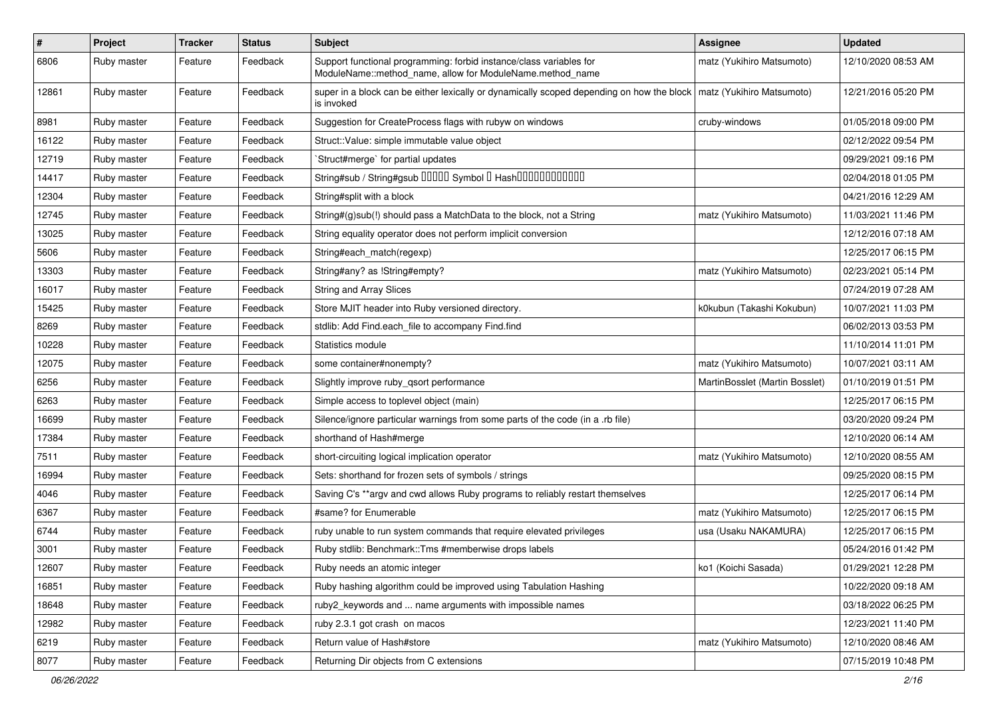| $\vert$ # | Project     | <b>Tracker</b> | <b>Status</b> | Subject                                                                                                                          | <b>Assignee</b>                | <b>Updated</b>      |
|-----------|-------------|----------------|---------------|----------------------------------------------------------------------------------------------------------------------------------|--------------------------------|---------------------|
| 6806      | Ruby master | Feature        | Feedback      | Support functional programming: forbid instance/class variables for<br>ModuleName::method_name, allow for ModuleName.method_name | matz (Yukihiro Matsumoto)      | 12/10/2020 08:53 AM |
| 12861     | Ruby master | Feature        | Feedback      | super in a block can be either lexically or dynamically scoped depending on how the block<br>is invoked                          | matz (Yukihiro Matsumoto)      | 12/21/2016 05:20 PM |
| 8981      | Ruby master | Feature        | Feedback      | Suggestion for CreateProcess flags with rubyw on windows                                                                         | cruby-windows                  | 01/05/2018 09:00 PM |
| 16122     | Ruby master | Feature        | Feedback      | Struct::Value: simple immutable value object                                                                                     |                                | 02/12/2022 09:54 PM |
| 12719     | Ruby master | Feature        | Feedback      | `Struct#merge` for partial updates                                                                                               |                                | 09/29/2021 09:16 PM |
| 14417     | Ruby master | Feature        | Feedback      | String#sub / String#gsub 00000 Symbol 0 Hash000000000000                                                                         |                                | 02/04/2018 01:05 PM |
| 12304     | Ruby master | Feature        | Feedback      | String#split with a block                                                                                                        |                                | 04/21/2016 12:29 AM |
| 12745     | Ruby master | Feature        | Feedback      | String#(g)sub(!) should pass a MatchData to the block, not a String                                                              | matz (Yukihiro Matsumoto)      | 11/03/2021 11:46 PM |
| 13025     | Ruby master | Feature        | Feedback      | String equality operator does not perform implicit conversion                                                                    |                                | 12/12/2016 07:18 AM |
| 5606      | Ruby master | Feature        | Feedback      | String#each_match(regexp)                                                                                                        |                                | 12/25/2017 06:15 PM |
| 13303     | Ruby master | Feature        | Feedback      | String#any? as !String#empty?                                                                                                    | matz (Yukihiro Matsumoto)      | 02/23/2021 05:14 PM |
| 16017     | Ruby master | Feature        | Feedback      | String and Array Slices                                                                                                          |                                | 07/24/2019 07:28 AM |
| 15425     | Ruby master | Feature        | Feedback      | Store MJIT header into Ruby versioned directory.                                                                                 | k0kubun (Takashi Kokubun)      | 10/07/2021 11:03 PM |
| 8269      | Ruby master | Feature        | Feedback      | stdlib: Add Find.each_file to accompany Find.find                                                                                |                                | 06/02/2013 03:53 PM |
| 10228     | Ruby master | Feature        | Feedback      | Statistics module                                                                                                                |                                | 11/10/2014 11:01 PM |
| 12075     | Ruby master | Feature        | Feedback      | some container#nonempty?                                                                                                         | matz (Yukihiro Matsumoto)      | 10/07/2021 03:11 AM |
| 6256      | Ruby master | Feature        | Feedback      | Slightly improve ruby_qsort performance                                                                                          | MartinBosslet (Martin Bosslet) | 01/10/2019 01:51 PM |
| 6263      | Ruby master | Feature        | Feedback      | Simple access to toplevel object (main)                                                                                          |                                | 12/25/2017 06:15 PM |
| 16699     | Ruby master | Feature        | Feedback      | Silence/ignore particular warnings from some parts of the code (in a .rb file)                                                   |                                | 03/20/2020 09:24 PM |
| 17384     | Ruby master | Feature        | Feedback      | shorthand of Hash#merge                                                                                                          |                                | 12/10/2020 06:14 AM |
| 7511      | Ruby master | Feature        | Feedback      | short-circuiting logical implication operator                                                                                    | matz (Yukihiro Matsumoto)      | 12/10/2020 08:55 AM |
| 16994     | Ruby master | Feature        | Feedback      | Sets: shorthand for frozen sets of symbols / strings                                                                             |                                | 09/25/2020 08:15 PM |
| 4046      | Ruby master | Feature        | Feedback      | Saving C's ** argv and cwd allows Ruby programs to reliably restart themselves                                                   |                                | 12/25/2017 06:14 PM |
| 6367      | Ruby master | Feature        | Feedback      | #same? for Enumerable                                                                                                            | matz (Yukihiro Matsumoto)      | 12/25/2017 06:15 PM |
| 6744      | Ruby master | Feature        | Feedback      | ruby unable to run system commands that require elevated privileges                                                              | usa (Usaku NAKAMURA)           | 12/25/2017 06:15 PM |
| 3001      | Ruby master | Feature        | Feedback      | Ruby stdlib: Benchmark::Tms #memberwise drops labels                                                                             |                                | 05/24/2016 01:42 PM |
| 12607     | Ruby master | Feature        | Feedback      | Ruby needs an atomic integer                                                                                                     | ko1 (Koichi Sasada)            | 01/29/2021 12:28 PM |
| 16851     | Ruby master | Feature        | Feedback      | Ruby hashing algorithm could be improved using Tabulation Hashing                                                                |                                | 10/22/2020 09:18 AM |
| 18648     | Ruby master | Feature        | Feedback      | ruby2 keywords and  name arguments with impossible names                                                                         |                                | 03/18/2022 06:25 PM |
| 12982     | Ruby master | Feature        | Feedback      | ruby 2.3.1 got crash on macos                                                                                                    |                                | 12/23/2021 11:40 PM |
| 6219      | Ruby master | Feature        | Feedback      | Return value of Hash#store                                                                                                       | matz (Yukihiro Matsumoto)      | 12/10/2020 08:46 AM |
| 8077      | Ruby master | Feature        | Feedback      | Returning Dir objects from C extensions                                                                                          |                                | 07/15/2019 10:48 PM |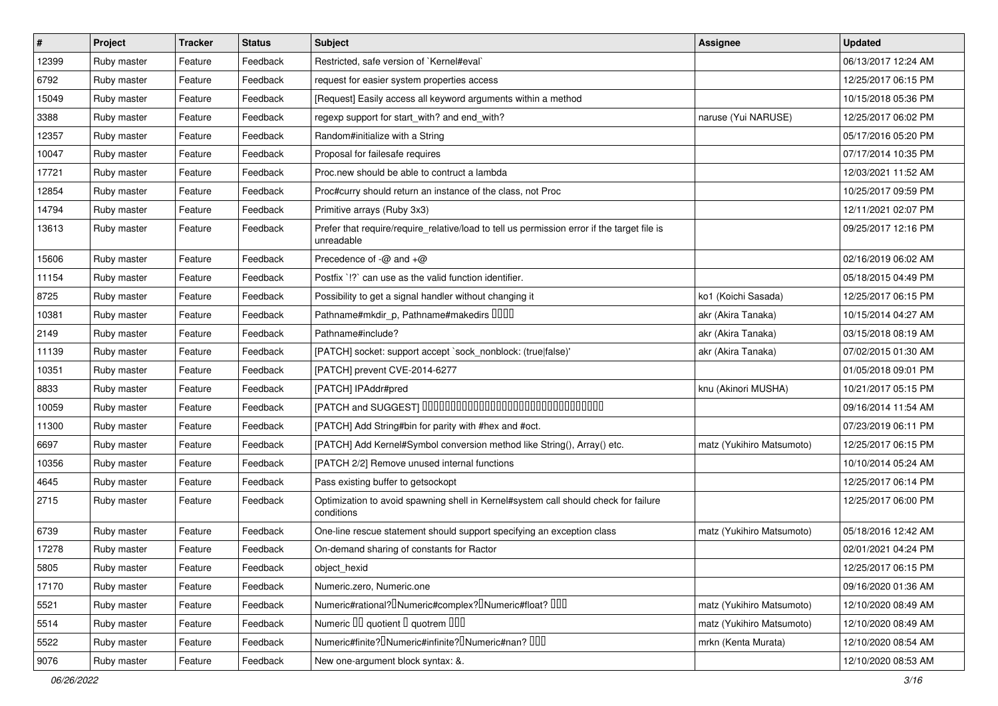| $\sharp$ | Project     | Tracker | <b>Status</b> | Subject                                                                                                   | <b>Assignee</b>           | <b>Updated</b>      |
|----------|-------------|---------|---------------|-----------------------------------------------------------------------------------------------------------|---------------------------|---------------------|
| 12399    | Ruby master | Feature | Feedback      | Restricted, safe version of `Kernel#eval`                                                                 |                           | 06/13/2017 12:24 AM |
| 6792     | Ruby master | Feature | Feedback      | request for easier system properties access                                                               |                           | 12/25/2017 06:15 PM |
| 15049    | Ruby master | Feature | Feedback      | [Request] Easily access all keyword arguments within a method                                             |                           | 10/15/2018 05:36 PM |
| 3388     | Ruby master | Feature | Feedback      | regexp support for start_with? and end_with?                                                              | naruse (Yui NARUSE)       | 12/25/2017 06:02 PM |
| 12357    | Ruby master | Feature | Feedback      | Random#initialize with a String                                                                           |                           | 05/17/2016 05:20 PM |
| 10047    | Ruby master | Feature | Feedback      | Proposal for failesafe requires                                                                           |                           | 07/17/2014 10:35 PM |
| 17721    | Ruby master | Feature | Feedback      | Proc.new should be able to contruct a lambda                                                              |                           | 12/03/2021 11:52 AM |
| 12854    | Ruby master | Feature | Feedback      | Proc#curry should return an instance of the class, not Proc                                               |                           | 10/25/2017 09:59 PM |
| 14794    | Ruby master | Feature | Feedback      | Primitive arrays (Ruby 3x3)                                                                               |                           | 12/11/2021 02:07 PM |
| 13613    | Ruby master | Feature | Feedback      | Prefer that require/require_relative/load to tell us permission error if the target file is<br>unreadable |                           | 09/25/2017 12:16 PM |
| 15606    | Ruby master | Feature | Feedback      | Precedence of $-\omega$ and $+\omega$                                                                     |                           | 02/16/2019 06:02 AM |
| 11154    | Ruby master | Feature | Feedback      | Postfix '!?' can use as the valid function identifier.                                                    |                           | 05/18/2015 04:49 PM |
| 8725     | Ruby master | Feature | Feedback      | Possibility to get a signal handler without changing it                                                   | ko1 (Koichi Sasada)       | 12/25/2017 06:15 PM |
| 10381    | Ruby master | Feature | Feedback      | Pathname#mkdir_p, Pathname#makedirs IIIII                                                                 | akr (Akira Tanaka)        | 10/15/2014 04:27 AM |
| 2149     | Ruby master | Feature | Feedback      | Pathname#include?                                                                                         | akr (Akira Tanaka)        | 03/15/2018 08:19 AM |
| 11139    | Ruby master | Feature | Feedback      | [PATCH] socket: support accept `sock_nonblock: (true false)'                                              | akr (Akira Tanaka)        | 07/02/2015 01:30 AM |
| 10351    | Ruby master | Feature | Feedback      | [PATCH] prevent CVE-2014-6277                                                                             |                           | 01/05/2018 09:01 PM |
| 8833     | Ruby master | Feature | Feedback      | [PATCH] IPAddr#pred                                                                                       | knu (Akinori MUSHA)       | 10/21/2017 05:15 PM |
| 10059    | Ruby master | Feature | Feedback      | [PATCH and SUGGEST] 0000000000000000000000000000000                                                       |                           | 09/16/2014 11:54 AM |
| 11300    | Ruby master | Feature | Feedback      | [PATCH] Add String#bin for parity with #hex and #oct.                                                     |                           | 07/23/2019 06:11 PM |
| 6697     | Ruby master | Feature | Feedback      | [PATCH] Add Kernel#Symbol conversion method like String(), Array() etc.                                   | matz (Yukihiro Matsumoto) | 12/25/2017 06:15 PM |
| 10356    | Ruby master | Feature | Feedback      | [PATCH 2/2] Remove unused internal functions                                                              |                           | 10/10/2014 05:24 AM |
| 4645     | Ruby master | Feature | Feedback      | Pass existing buffer to getsockopt                                                                        |                           | 12/25/2017 06:14 PM |
| 2715     | Ruby master | Feature | Feedback      | Optimization to avoid spawning shell in Kernel#system call should check for failure<br>conditions         |                           | 12/25/2017 06:00 PM |
| 6739     | Ruby master | Feature | Feedback      | One-line rescue statement should support specifying an exception class                                    | matz (Yukihiro Matsumoto) | 05/18/2016 12:42 AM |
| 17278    | Ruby master | Feature | Feedback      | On-demand sharing of constants for Ractor                                                                 |                           | 02/01/2021 04:24 PM |
| 5805     | Ruby master | Feature | Feedback      | object_hexid                                                                                              |                           | 12/25/2017 06:15 PM |
| 17170    | Ruby master | Feature | Feedback      | Numeric.zero, Numeric.one                                                                                 |                           | 09/16/2020 01:36 AM |
| 5521     | Ruby master | Feature | Feedback      | Numeric#rational? <sup>[]</sup> Numeric#complex? <sup>[]</sup> Numeric#float? <sup>[10]</sup>             | matz (Yukihiro Matsumoto) | 12/10/2020 08:49 AM |
| 5514     | Ruby master | Feature | Feedback      | Numeric III quotient II quotrem IIII                                                                      | matz (Yukihiro Matsumoto) | 12/10/2020 08:49 AM |
| 5522     | Ruby master | Feature | Feedback      | Numeric#finite? Numeric#infinite? INumeric#nan? IIII                                                      | mrkn (Kenta Murata)       | 12/10/2020 08:54 AM |
| 9076     | Ruby master | Feature | Feedback      | New one-argument block syntax: &.                                                                         |                           | 12/10/2020 08:53 AM |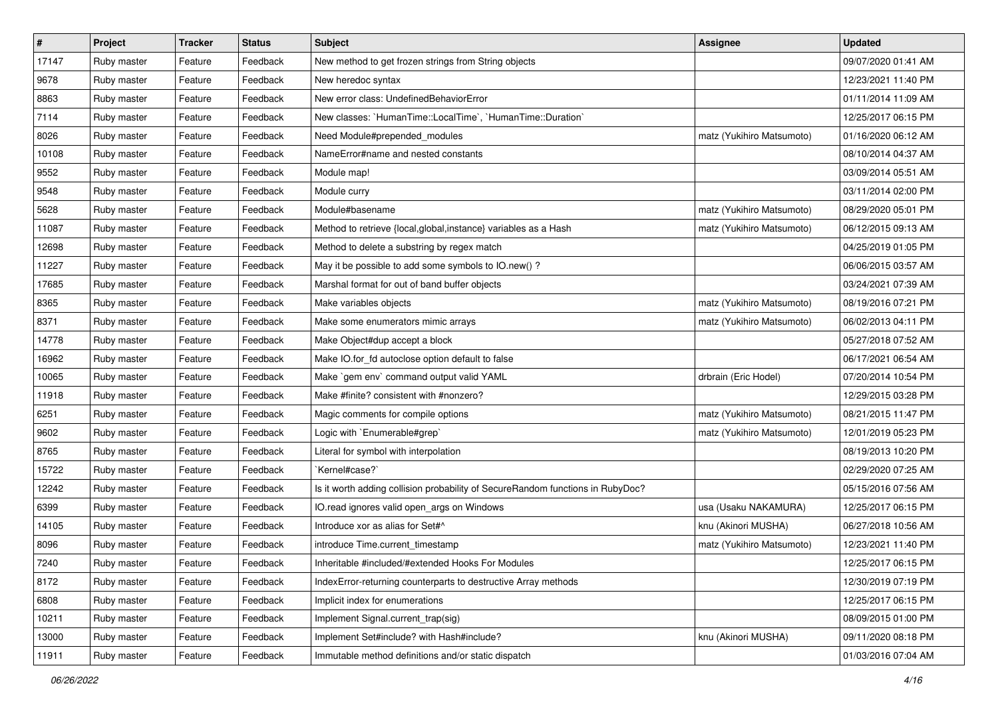| $\vert$ # | Project     | <b>Tracker</b> | <b>Status</b> | <b>Subject</b>                                                                 | <b>Assignee</b>           | <b>Updated</b>      |
|-----------|-------------|----------------|---------------|--------------------------------------------------------------------------------|---------------------------|---------------------|
| 17147     | Ruby master | Feature        | Feedback      | New method to get frozen strings from String objects                           |                           | 09/07/2020 01:41 AM |
| 9678      | Ruby master | Feature        | Feedback      | New heredoc syntax                                                             |                           | 12/23/2021 11:40 PM |
| 8863      | Ruby master | Feature        | Feedback      | New error class: UndefinedBehaviorError                                        |                           | 01/11/2014 11:09 AM |
| 7114      | Ruby master | Feature        | Feedback      | New classes: `HumanTime::LocalTime`, `HumanTime::Duration`                     |                           | 12/25/2017 06:15 PM |
| 8026      | Ruby master | Feature        | Feedback      | Need Module#prepended_modules                                                  | matz (Yukihiro Matsumoto) | 01/16/2020 06:12 AM |
| 10108     | Ruby master | Feature        | Feedback      | NameError#name and nested constants                                            |                           | 08/10/2014 04:37 AM |
| 9552      | Ruby master | Feature        | Feedback      | Module map!                                                                    |                           | 03/09/2014 05:51 AM |
| 9548      | Ruby master | Feature        | Feedback      | Module curry                                                                   |                           | 03/11/2014 02:00 PM |
| 5628      | Ruby master | Feature        | Feedback      | Module#basename                                                                | matz (Yukihiro Matsumoto) | 08/29/2020 05:01 PM |
| 11087     | Ruby master | Feature        | Feedback      | Method to retrieve {local, global, instance} variables as a Hash               | matz (Yukihiro Matsumoto) | 06/12/2015 09:13 AM |
| 12698     | Ruby master | Feature        | Feedback      | Method to delete a substring by regex match                                    |                           | 04/25/2019 01:05 PM |
| 11227     | Ruby master | Feature        | Feedback      | May it be possible to add some symbols to IO.new() ?                           |                           | 06/06/2015 03:57 AM |
| 17685     | Ruby master | Feature        | Feedback      | Marshal format for out of band buffer objects                                  |                           | 03/24/2021 07:39 AM |
| 8365      | Ruby master | Feature        | Feedback      | Make variables objects                                                         | matz (Yukihiro Matsumoto) | 08/19/2016 07:21 PM |
| 8371      | Ruby master | Feature        | Feedback      | Make some enumerators mimic arrays                                             | matz (Yukihiro Matsumoto) | 06/02/2013 04:11 PM |
| 14778     | Ruby master | Feature        | Feedback      | Make Object#dup accept a block                                                 |                           | 05/27/2018 07:52 AM |
| 16962     | Ruby master | Feature        | Feedback      | Make IO.for_fd autoclose option default to false                               |                           | 06/17/2021 06:54 AM |
| 10065     | Ruby master | Feature        | Feedback      | Make `gem env` command output valid YAML                                       | drbrain (Eric Hodel)      | 07/20/2014 10:54 PM |
| 11918     | Ruby master | Feature        | Feedback      | Make #finite? consistent with #nonzero?                                        |                           | 12/29/2015 03:28 PM |
| 6251      | Ruby master | Feature        | Feedback      | Magic comments for compile options                                             | matz (Yukihiro Matsumoto) | 08/21/2015 11:47 PM |
| 9602      | Ruby master | Feature        | Feedback      | Logic with `Enumerable#grep`                                                   | matz (Yukihiro Matsumoto) | 12/01/2019 05:23 PM |
| 8765      | Ruby master | Feature        | Feedback      | Literal for symbol with interpolation                                          |                           | 08/19/2013 10:20 PM |
| 15722     | Ruby master | Feature        | Feedback      | `Kernel#case?`                                                                 |                           | 02/29/2020 07:25 AM |
| 12242     | Ruby master | Feature        | Feedback      | Is it worth adding collision probability of SecureRandom functions in RubyDoc? |                           | 05/15/2016 07:56 AM |
| 6399      | Ruby master | Feature        | Feedback      | IO.read ignores valid open_args on Windows                                     | usa (Usaku NAKAMURA)      | 12/25/2017 06:15 PM |
| 14105     | Ruby master | Feature        | Feedback      | Introduce xor as alias for Set#^                                               | knu (Akinori MUSHA)       | 06/27/2018 10:56 AM |
| 8096      | Ruby master | Feature        | Feedback      | introduce Time.current_timestamp                                               | matz (Yukihiro Matsumoto) | 12/23/2021 11:40 PM |
| 7240      | Ruby master | Feature        | Feedback      | Inheritable #included/#extended Hooks For Modules                              |                           | 12/25/2017 06:15 PM |
| 8172      | Ruby master | Feature        | Feedback      | IndexError-returning counterparts to destructive Array methods                 |                           | 12/30/2019 07:19 PM |
| 6808      | Ruby master | Feature        | Feedback      | Implicit index for enumerations                                                |                           | 12/25/2017 06:15 PM |
| 10211     | Ruby master | Feature        | Feedback      | Implement Signal.current_trap(sig)                                             |                           | 08/09/2015 01:00 PM |
| 13000     | Ruby master | Feature        | Feedback      | Implement Set#include? with Hash#include?                                      | knu (Akinori MUSHA)       | 09/11/2020 08:18 PM |
| 11911     | Ruby master | Feature        | Feedback      | Immutable method definitions and/or static dispatch                            |                           | 01/03/2016 07:04 AM |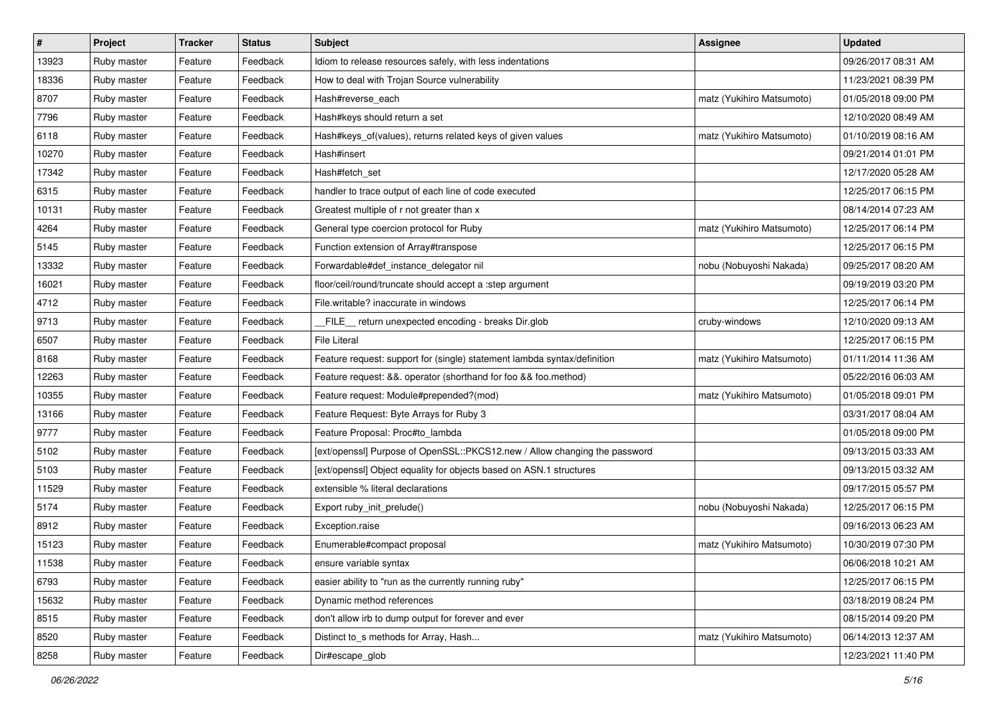| $\pmb{\#}$ | Project     | Tracker | <b>Status</b> | Subject                                                                    | <b>Assignee</b>           | <b>Updated</b>      |
|------------|-------------|---------|---------------|----------------------------------------------------------------------------|---------------------------|---------------------|
| 13923      | Ruby master | Feature | Feedback      | Idiom to release resources safely, with less indentations                  |                           | 09/26/2017 08:31 AM |
| 18336      | Ruby master | Feature | Feedback      | How to deal with Trojan Source vulnerability                               |                           | 11/23/2021 08:39 PM |
| 8707       | Ruby master | Feature | Feedback      | Hash#reverse_each                                                          | matz (Yukihiro Matsumoto) | 01/05/2018 09:00 PM |
| 7796       | Ruby master | Feature | Feedback      | Hash#keys should return a set                                              |                           | 12/10/2020 08:49 AM |
| 6118       | Ruby master | Feature | Feedback      | Hash#keys_of(values), returns related keys of given values                 | matz (Yukihiro Matsumoto) | 01/10/2019 08:16 AM |
| 10270      | Ruby master | Feature | Feedback      | Hash#insert                                                                |                           | 09/21/2014 01:01 PM |
| 17342      | Ruby master | Feature | Feedback      | Hash#fetch set                                                             |                           | 12/17/2020 05:28 AM |
| 6315       | Ruby master | Feature | Feedback      | handler to trace output of each line of code executed                      |                           | 12/25/2017 06:15 PM |
| 10131      | Ruby master | Feature | Feedback      | Greatest multiple of r not greater than x                                  |                           | 08/14/2014 07:23 AM |
| 4264       | Ruby master | Feature | Feedback      | General type coercion protocol for Ruby                                    | matz (Yukihiro Matsumoto) | 12/25/2017 06:14 PM |
| 5145       | Ruby master | Feature | Feedback      | Function extension of Array#transpose                                      |                           | 12/25/2017 06:15 PM |
| 13332      | Ruby master | Feature | Feedback      | Forwardable#def_instance_delegator nil                                     | nobu (Nobuyoshi Nakada)   | 09/25/2017 08:20 AM |
| 16021      | Ruby master | Feature | Feedback      | floor/ceil/round/truncate should accept a :step argument                   |                           | 09/19/2019 03:20 PM |
| 4712       | Ruby master | Feature | Feedback      | File.writable? inaccurate in windows                                       |                           | 12/25/2017 06:14 PM |
| 9713       | Ruby master | Feature | Feedback      | FILE return unexpected encoding - breaks Dir.glob                          | cruby-windows             | 12/10/2020 09:13 AM |
| 6507       | Ruby master | Feature | Feedback      | <b>File Literal</b>                                                        |                           | 12/25/2017 06:15 PM |
| 8168       | Ruby master | Feature | Feedback      | Feature request: support for (single) statement lambda syntax/definition   | matz (Yukihiro Matsumoto) | 01/11/2014 11:36 AM |
| 12263      | Ruby master | Feature | Feedback      | Feature request: &&. operator (shorthand for foo && foo.method)            |                           | 05/22/2016 06:03 AM |
| 10355      | Ruby master | Feature | Feedback      | Feature request: Module#prepended?(mod)                                    | matz (Yukihiro Matsumoto) | 01/05/2018 09:01 PM |
| 13166      | Ruby master | Feature | Feedback      | Feature Request: Byte Arrays for Ruby 3                                    |                           | 03/31/2017 08:04 AM |
| 9777       | Ruby master | Feature | Feedback      | Feature Proposal: Proc#to_lambda                                           |                           | 01/05/2018 09:00 PM |
| 5102       | Ruby master | Feature | Feedback      | [ext/openssl] Purpose of OpenSSL::PKCS12.new / Allow changing the password |                           | 09/13/2015 03:33 AM |
| 5103       | Ruby master | Feature | Feedback      | [ext/openssl] Object equality for objects based on ASN.1 structures        |                           | 09/13/2015 03:32 AM |
| 11529      | Ruby master | Feature | Feedback      | extensible % literal declarations                                          |                           | 09/17/2015 05:57 PM |
| 5174       | Ruby master | Feature | Feedback      | Export ruby_init_prelude()                                                 | nobu (Nobuyoshi Nakada)   | 12/25/2017 06:15 PM |
| 8912       | Ruby master | Feature | Feedback      | Exception.raise                                                            |                           | 09/16/2013 06:23 AM |
| 15123      | Ruby master | Feature | Feedback      | Enumerable#compact proposal                                                | matz (Yukihiro Matsumoto) | 10/30/2019 07:30 PM |
| 11538      | Ruby master | Feature | Feedback      | ensure variable syntax                                                     |                           | 06/06/2018 10:21 AM |
| 6793       | Ruby master | Feature | Feedback      | easier ability to "run as the currently running ruby"                      |                           | 12/25/2017 06:15 PM |
| 15632      | Ruby master | Feature | Feedback      | Dynamic method references                                                  |                           | 03/18/2019 08:24 PM |
| 8515       | Ruby master | Feature | Feedback      | don't allow irb to dump output for forever and ever                        |                           | 08/15/2014 09:20 PM |
| 8520       | Ruby master | Feature | Feedback      | Distinct to s methods for Array, Hash                                      | matz (Yukihiro Matsumoto) | 06/14/2013 12:37 AM |
| 8258       | Ruby master | Feature | Feedback      | Dir#escape_glob                                                            |                           | 12/23/2021 11:40 PM |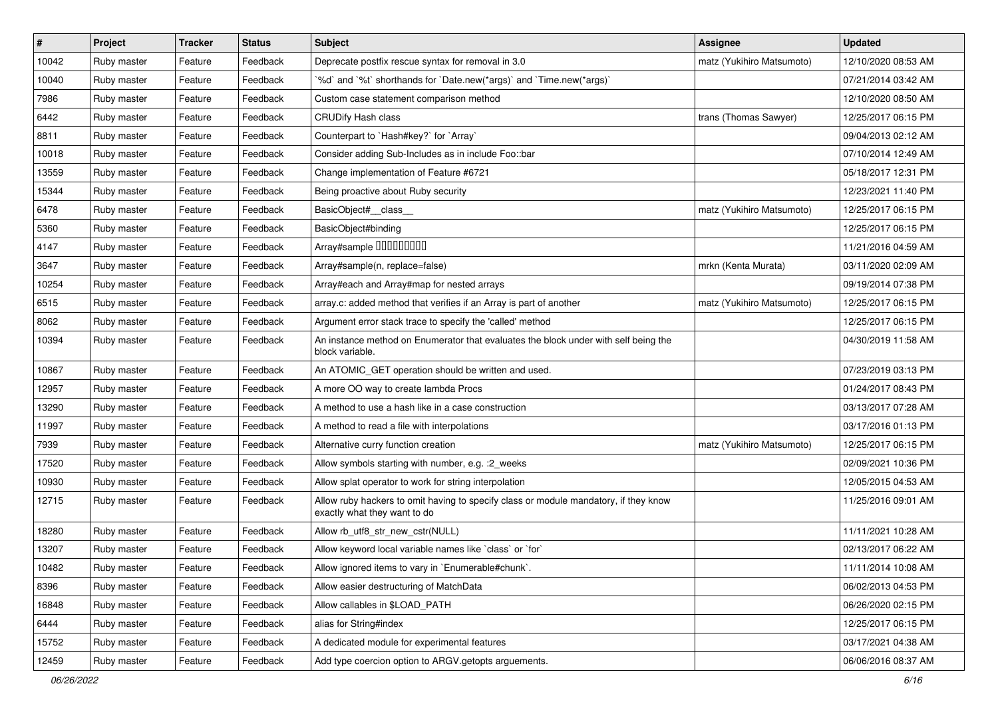| $\vert$ # | Project     | <b>Tracker</b> | <b>Status</b> | <b>Subject</b>                                                                                                       | <b>Assignee</b>           | <b>Updated</b>      |
|-----------|-------------|----------------|---------------|----------------------------------------------------------------------------------------------------------------------|---------------------------|---------------------|
| 10042     | Ruby master | Feature        | Feedback      | Deprecate postfix rescue syntax for removal in 3.0                                                                   | matz (Yukihiro Matsumoto) | 12/10/2020 08:53 AM |
| 10040     | Ruby master | Feature        | Feedback      | '%d' and '%t' shorthands for 'Date.new(*args)' and 'Time.new(*args)'                                                 |                           | 07/21/2014 03:42 AM |
| 7986      | Ruby master | Feature        | Feedback      | Custom case statement comparison method                                                                              |                           | 12/10/2020 08:50 AM |
| 6442      | Ruby master | Feature        | Feedback      | <b>CRUDify Hash class</b>                                                                                            | trans (Thomas Sawyer)     | 12/25/2017 06:15 PM |
| 8811      | Ruby master | Feature        | Feedback      | Counterpart to `Hash#key?` for `Array`                                                                               |                           | 09/04/2013 02:12 AM |
| 10018     | Ruby master | Feature        | Feedback      | Consider adding Sub-Includes as in include Foo::bar                                                                  |                           | 07/10/2014 12:49 AM |
| 13559     | Ruby master | Feature        | Feedback      | Change implementation of Feature #6721                                                                               |                           | 05/18/2017 12:31 PM |
| 15344     | Ruby master | Feature        | Feedback      | Being proactive about Ruby security                                                                                  |                           | 12/23/2021 11:40 PM |
| 6478      | Ruby master | Feature        | Feedback      | BasicObject#_class_                                                                                                  | matz (Yukihiro Matsumoto) | 12/25/2017 06:15 PM |
| 5360      | Ruby master | Feature        | Feedback      | BasicObject#binding                                                                                                  |                           | 12/25/2017 06:15 PM |
| 4147      | Ruby master | Feature        | Feedback      | Array#sample 00000000                                                                                                |                           | 11/21/2016 04:59 AM |
| 3647      | Ruby master | Feature        | Feedback      | Array#sample(n, replace=false)                                                                                       | mrkn (Kenta Murata)       | 03/11/2020 02:09 AM |
| 10254     | Ruby master | Feature        | Feedback      | Array#each and Array#map for nested arrays                                                                           |                           | 09/19/2014 07:38 PM |
| 6515      | Ruby master | Feature        | Feedback      | array.c: added method that verifies if an Array is part of another                                                   | matz (Yukihiro Matsumoto) | 12/25/2017 06:15 PM |
| 8062      | Ruby master | Feature        | Feedback      | Argument error stack trace to specify the 'called' method                                                            |                           | 12/25/2017 06:15 PM |
| 10394     | Ruby master | Feature        | Feedback      | An instance method on Enumerator that evaluates the block under with self being the<br>block variable.               |                           | 04/30/2019 11:58 AM |
| 10867     | Ruby master | Feature        | Feedback      | An ATOMIC_GET operation should be written and used.                                                                  |                           | 07/23/2019 03:13 PM |
| 12957     | Ruby master | Feature        | Feedback      | A more OO way to create lambda Procs                                                                                 |                           | 01/24/2017 08:43 PM |
| 13290     | Ruby master | Feature        | Feedback      | A method to use a hash like in a case construction                                                                   |                           | 03/13/2017 07:28 AM |
| 11997     | Ruby master | Feature        | Feedback      | A method to read a file with interpolations                                                                          |                           | 03/17/2016 01:13 PM |
| 7939      | Ruby master | Feature        | Feedback      | Alternative curry function creation                                                                                  | matz (Yukihiro Matsumoto) | 12/25/2017 06:15 PM |
| 17520     | Ruby master | Feature        | Feedback      | Allow symbols starting with number, e.g. : 2_weeks                                                                   |                           | 02/09/2021 10:36 PM |
| 10930     | Ruby master | Feature        | Feedback      | Allow splat operator to work for string interpolation                                                                |                           | 12/05/2015 04:53 AM |
| 12715     | Ruby master | Feature        | Feedback      | Allow ruby hackers to omit having to specify class or module mandatory, if they know<br>exactly what they want to do |                           | 11/25/2016 09:01 AM |
| 18280     | Ruby master | Feature        | Feedback      | Allow rb utf8 str new cstr(NULL)                                                                                     |                           | 11/11/2021 10:28 AM |
| 13207     | Ruby master | Feature        | Feedback      | Allow keyword local variable names like `class` or `for`                                                             |                           | 02/13/2017 06:22 AM |
| 10482     | Ruby master | Feature        | Feedback      | Allow ignored items to vary in `Enumerable#chunk`.                                                                   |                           | 11/11/2014 10:08 AM |
| 8396      | Ruby master | Feature        | Feedback      | Allow easier destructuring of MatchData                                                                              |                           | 06/02/2013 04:53 PM |
| 16848     | Ruby master | Feature        | Feedback      | Allow callables in \$LOAD_PATH                                                                                       |                           | 06/26/2020 02:15 PM |
| 6444      | Ruby master | Feature        | Feedback      | alias for String#index                                                                                               |                           | 12/25/2017 06:15 PM |
| 15752     | Ruby master | Feature        | Feedback      | A dedicated module for experimental features                                                                         |                           | 03/17/2021 04:38 AM |
| 12459     | Ruby master | Feature        | Feedback      | Add type coercion option to ARGV getopts arguements.                                                                 |                           | 06/06/2016 08:37 AM |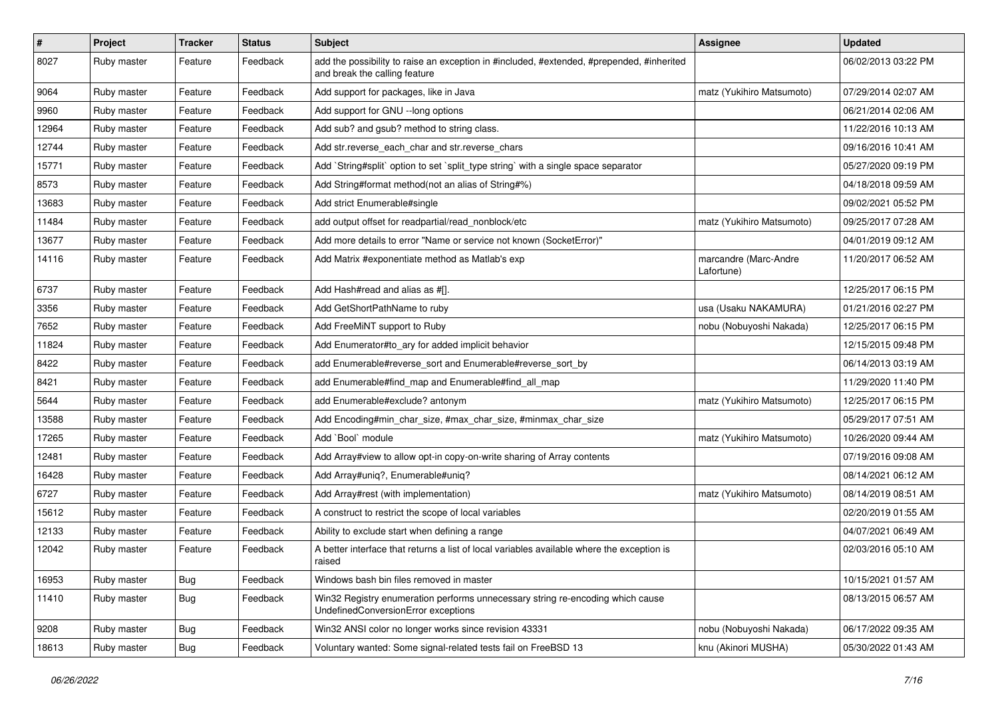| $\vert$ # | Project     | <b>Tracker</b> | <b>Status</b> | Subject                                                                                                                    | Assignee                            | <b>Updated</b>      |
|-----------|-------------|----------------|---------------|----------------------------------------------------------------------------------------------------------------------------|-------------------------------------|---------------------|
| 8027      | Ruby master | Feature        | Feedback      | add the possibility to raise an exception in #included, #extended, #prepended, #inherited<br>and break the calling feature |                                     | 06/02/2013 03:22 PM |
| 9064      | Ruby master | Feature        | Feedback      | Add support for packages, like in Java                                                                                     | matz (Yukihiro Matsumoto)           | 07/29/2014 02:07 AM |
| 9960      | Ruby master | Feature        | Feedback      | Add support for GNU --long options                                                                                         |                                     | 06/21/2014 02:06 AM |
| 12964     | Ruby master | Feature        | Feedback      | Add sub? and gsub? method to string class.                                                                                 |                                     | 11/22/2016 10:13 AM |
| 12744     | Ruby master | Feature        | Feedback      | Add str. reverse each char and str. reverse chars                                                                          |                                     | 09/16/2016 10:41 AM |
| 15771     | Ruby master | Feature        | Feedback      | Add `String#split` option to set `split_type string` with a single space separator                                         |                                     | 05/27/2020 09:19 PM |
| 8573      | Ruby master | Feature        | Feedback      | Add String#format method(not an alias of String#%)                                                                         |                                     | 04/18/2018 09:59 AM |
| 13683     | Ruby master | Feature        | Feedback      | Add strict Enumerable#single                                                                                               |                                     | 09/02/2021 05:52 PM |
| 11484     | Ruby master | Feature        | Feedback      | add output offset for readpartial/read_nonblock/etc                                                                        | matz (Yukihiro Matsumoto)           | 09/25/2017 07:28 AM |
| 13677     | Ruby master | Feature        | Feedback      | Add more details to error "Name or service not known (SocketError)"                                                        |                                     | 04/01/2019 09:12 AM |
| 14116     | Ruby master | Feature        | Feedback      | Add Matrix #exponentiate method as Matlab's exp                                                                            | marcandre (Marc-Andre<br>Lafortune) | 11/20/2017 06:52 AM |
| 6737      | Ruby master | Feature        | Feedback      | Add Hash#read and alias as #[].                                                                                            |                                     | 12/25/2017 06:15 PM |
| 3356      | Ruby master | Feature        | Feedback      | Add GetShortPathName to ruby                                                                                               | usa (Usaku NAKAMURA)                | 01/21/2016 02:27 PM |
| 7652      | Ruby master | Feature        | Feedback      | Add FreeMiNT support to Ruby                                                                                               | nobu (Nobuyoshi Nakada)             | 12/25/2017 06:15 PM |
| 11824     | Ruby master | Feature        | Feedback      | Add Enumerator#to_ary for added implicit behavior                                                                          |                                     | 12/15/2015 09:48 PM |
| 8422      | Ruby master | Feature        | Feedback      | add Enumerable#reverse_sort and Enumerable#reverse_sort_by                                                                 |                                     | 06/14/2013 03:19 AM |
| 8421      | Ruby master | Feature        | Feedback      | add Enumerable#find_map and Enumerable#find_all_map                                                                        |                                     | 11/29/2020 11:40 PM |
| 5644      | Ruby master | Feature        | Feedback      | add Enumerable#exclude? antonym                                                                                            | matz (Yukihiro Matsumoto)           | 12/25/2017 06:15 PM |
| 13588     | Ruby master | Feature        | Feedback      | Add Encoding#min_char_size, #max_char_size, #minmax_char_size                                                              |                                     | 05/29/2017 07:51 AM |
| 17265     | Ruby master | Feature        | Feedback      | Add `Bool` module                                                                                                          | matz (Yukihiro Matsumoto)           | 10/26/2020 09:44 AM |
| 12481     | Ruby master | Feature        | Feedback      | Add Array#view to allow opt-in copy-on-write sharing of Array contents                                                     |                                     | 07/19/2016 09:08 AM |
| 16428     | Ruby master | Feature        | Feedback      | Add Array#uniq?, Enumerable#uniq?                                                                                          |                                     | 08/14/2021 06:12 AM |
| 6727      | Ruby master | Feature        | Feedback      | Add Array#rest (with implementation)                                                                                       | matz (Yukihiro Matsumoto)           | 08/14/2019 08:51 AM |
| 15612     | Ruby master | Feature        | Feedback      | A construct to restrict the scope of local variables                                                                       |                                     | 02/20/2019 01:55 AM |
| 12133     | Ruby master | Feature        | Feedback      | Ability to exclude start when defining a range                                                                             |                                     | 04/07/2021 06:49 AM |
| 12042     | Ruby master | Feature        | Feedback      | A better interface that returns a list of local variables available where the exception is<br>raised                       |                                     | 02/03/2016 05:10 AM |
| 16953     | Ruby master | <b>Bug</b>     | Feedback      | Windows bash bin files removed in master                                                                                   |                                     | 10/15/2021 01:57 AM |
| 11410     | Ruby master | <b>Bug</b>     | Feedback      | Win32 Registry enumeration performs unnecessary string re-encoding which cause<br>UndefinedConversionError exceptions      |                                     | 08/13/2015 06:57 AM |
| 9208      | Ruby master | <b>Bug</b>     | Feedback      | Win32 ANSI color no longer works since revision 43331                                                                      | nobu (Nobuyoshi Nakada)             | 06/17/2022 09:35 AM |
| 18613     | Ruby master | Bug            | Feedback      | Voluntary wanted: Some signal-related tests fail on FreeBSD 13                                                             | knu (Akinori MUSHA)                 | 05/30/2022 01:43 AM |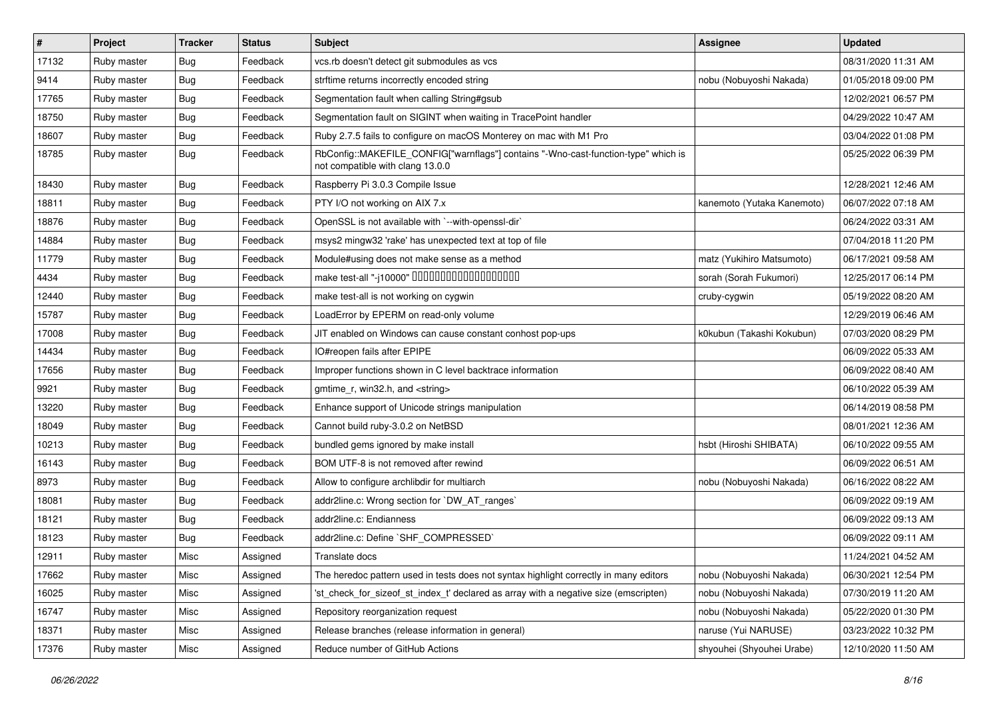| $\vert$ # | Project     | <b>Tracker</b> | <b>Status</b> | <b>Subject</b>                                                                                                         | <b>Assignee</b>            | <b>Updated</b>      |
|-----------|-------------|----------------|---------------|------------------------------------------------------------------------------------------------------------------------|----------------------------|---------------------|
| 17132     | Ruby master | Bug            | Feedback      | vcs.rb doesn't detect git submodules as vcs                                                                            |                            | 08/31/2020 11:31 AM |
| 9414      | Ruby master | <b>Bug</b>     | Feedback      | strftime returns incorrectly encoded string                                                                            | nobu (Nobuyoshi Nakada)    | 01/05/2018 09:00 PM |
| 17765     | Ruby master | <b>Bug</b>     | Feedback      | Segmentation fault when calling String#gsub                                                                            |                            | 12/02/2021 06:57 PM |
| 18750     | Ruby master | <b>Bug</b>     | Feedback      | Segmentation fault on SIGINT when waiting in TracePoint handler                                                        |                            | 04/29/2022 10:47 AM |
| 18607     | Ruby master | <b>Bug</b>     | Feedback      | Ruby 2.7.5 fails to configure on macOS Monterey on mac with M1 Pro                                                     |                            | 03/04/2022 01:08 PM |
| 18785     | Ruby master | <b>Bug</b>     | Feedback      | RbConfig::MAKEFILE_CONFIG["warnflags"] contains "-Wno-cast-function-type" which is<br>not compatible with clang 13.0.0 |                            | 05/25/2022 06:39 PM |
| 18430     | Ruby master | Bug            | Feedback      | Raspberry Pi 3.0.3 Compile Issue                                                                                       |                            | 12/28/2021 12:46 AM |
| 18811     | Ruby master | <b>Bug</b>     | Feedback      | PTY I/O not working on AIX 7.x                                                                                         | kanemoto (Yutaka Kanemoto) | 06/07/2022 07:18 AM |
| 18876     | Ruby master | <b>Bug</b>     | Feedback      | OpenSSL is not available with `--with-openssl-dir`                                                                     |                            | 06/24/2022 03:31 AM |
| 14884     | Ruby master | <b>Bug</b>     | Feedback      | msys2 mingw32 'rake' has unexpected text at top of file                                                                |                            | 07/04/2018 11:20 PM |
| 11779     | Ruby master | Bug            | Feedback      | Module#using does not make sense as a method                                                                           | matz (Yukihiro Matsumoto)  | 06/17/2021 09:58 AM |
| 4434      | Ruby master | <b>Bug</b>     | Feedback      |                                                                                                                        | sorah (Sorah Fukumori)     | 12/25/2017 06:14 PM |
| 12440     | Ruby master | <b>Bug</b>     | Feedback      | make test-all is not working on cygwin                                                                                 | cruby-cygwin               | 05/19/2022 08:20 AM |
| 15787     | Ruby master | Bug            | Feedback      | LoadError by EPERM on read-only volume                                                                                 |                            | 12/29/2019 06:46 AM |
| 17008     | Ruby master | Bug            | Feedback      | JIT enabled on Windows can cause constant conhost pop-ups                                                              | k0kubun (Takashi Kokubun)  | 07/03/2020 08:29 PM |
| 14434     | Ruby master | <b>Bug</b>     | Feedback      | IO#reopen fails after EPIPE                                                                                            |                            | 06/09/2022 05:33 AM |
| 17656     | Ruby master | Bug            | Feedback      | Improper functions shown in C level backtrace information                                                              |                            | 06/09/2022 08:40 AM |
| 9921      | Ruby master | Bug            | Feedback      | gmtime_r, win32.h, and <string></string>                                                                               |                            | 06/10/2022 05:39 AM |
| 13220     | Ruby master | Bug            | Feedback      | Enhance support of Unicode strings manipulation                                                                        |                            | 06/14/2019 08:58 PM |
| 18049     | Ruby master | Bug            | Feedback      | Cannot build ruby-3.0.2 on NetBSD                                                                                      |                            | 08/01/2021 12:36 AM |
| 10213     | Ruby master | <b>Bug</b>     | Feedback      | bundled gems ignored by make install                                                                                   | hsbt (Hiroshi SHIBATA)     | 06/10/2022 09:55 AM |
| 16143     | Ruby master | Bug            | Feedback      | BOM UTF-8 is not removed after rewind                                                                                  |                            | 06/09/2022 06:51 AM |
| 8973      | Ruby master | <b>Bug</b>     | Feedback      | Allow to configure archlibdir for multiarch                                                                            | nobu (Nobuyoshi Nakada)    | 06/16/2022 08:22 AM |
| 18081     | Ruby master | Bug            | Feedback      | addr2line.c: Wrong section for `DW_AT_ranges`                                                                          |                            | 06/09/2022 09:19 AM |
| 18121     | Ruby master | <b>Bug</b>     | Feedback      | addr2line.c: Endianness                                                                                                |                            | 06/09/2022 09:13 AM |
| 18123     | Ruby master | Bug            | Feedback      | addr2line.c: Define `SHF_COMPRESSED`                                                                                   |                            | 06/09/2022 09:11 AM |
| 12911     | Ruby master | Misc           | Assigned      | Translate docs                                                                                                         |                            | 11/24/2021 04:52 AM |
| 17662     | Ruby master | Misc           | Assigned      | The heredoc pattern used in tests does not syntax highlight correctly in many editors                                  | nobu (Nobuyoshi Nakada)    | 06/30/2021 12:54 PM |
| 16025     | Ruby master | Misc           | Assigned      | 'st_check_for_sizeof_st_index_t' declared as array with a negative size (emscripten)                                   | nobu (Nobuyoshi Nakada)    | 07/30/2019 11:20 AM |
| 16747     | Ruby master | Misc           | Assigned      | Repository reorganization request                                                                                      | nobu (Nobuyoshi Nakada)    | 05/22/2020 01:30 PM |
| 18371     | Ruby master | Misc           | Assigned      | Release branches (release information in general)                                                                      | naruse (Yui NARUSE)        | 03/23/2022 10:32 PM |
| 17376     | Ruby master | Misc           | Assigned      | Reduce number of GitHub Actions                                                                                        | shyouhei (Shyouhei Urabe)  | 12/10/2020 11:50 AM |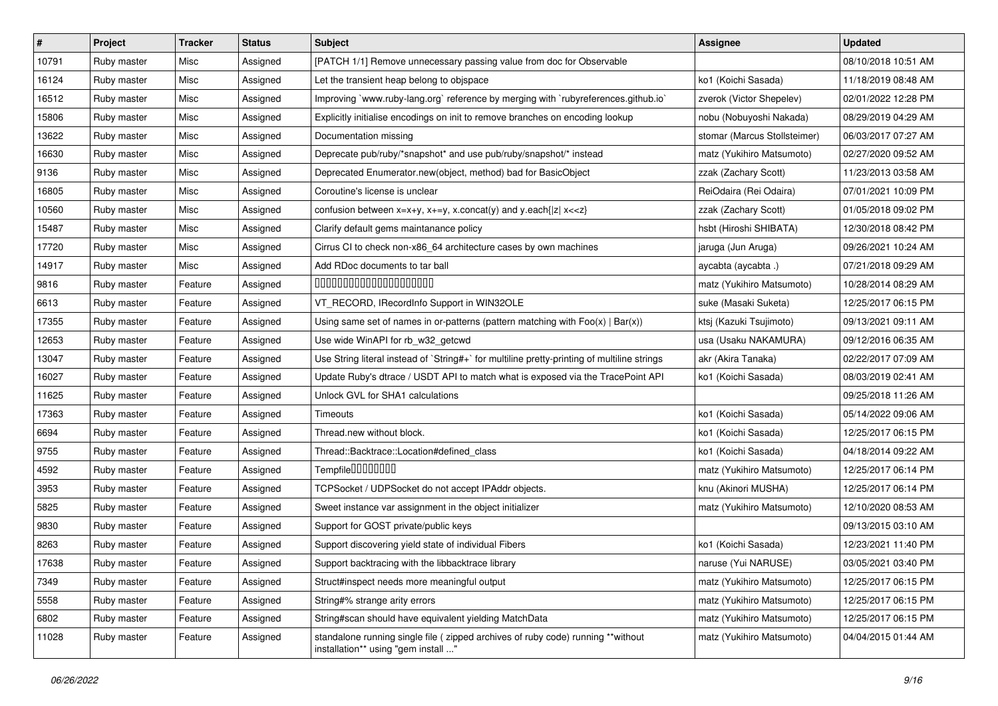| $\vert$ # | Project     | <b>Tracker</b> | <b>Status</b> | Subject                                                                                                                                          | <b>Assignee</b>              | <b>Updated</b>      |
|-----------|-------------|----------------|---------------|--------------------------------------------------------------------------------------------------------------------------------------------------|------------------------------|---------------------|
| 10791     | Ruby master | Misc           | Assigned      | [PATCH 1/1] Remove unnecessary passing value from doc for Observable                                                                             |                              | 08/10/2018 10:51 AM |
| 16124     | Ruby master | Misc           | Assigned      | Let the transient heap belong to objspace                                                                                                        | ko1 (Koichi Sasada)          | 11/18/2019 08:48 AM |
| 16512     | Ruby master | Misc           | Assigned      | Improving `www.ruby-lang.org` reference by merging with `rubyreferences.github.io`                                                               | zverok (Victor Shepelev)     | 02/01/2022 12:28 PM |
| 15806     | Ruby master | Misc           | Assigned      | Explicitly initialise encodings on init to remove branches on encoding lookup                                                                    | nobu (Nobuyoshi Nakada)      | 08/29/2019 04:29 AM |
| 13622     | Ruby master | Misc           | Assigned      | Documentation missing                                                                                                                            | stomar (Marcus Stollsteimer) | 06/03/2017 07:27 AM |
| 16630     | Ruby master | Misc           | Assigned      | Deprecate pub/ruby/*snapshot* and use pub/ruby/snapshot/* instead                                                                                | matz (Yukihiro Matsumoto)    | 02/27/2020 09:52 AM |
| 9136      | Ruby master | Misc           | Assigned      | Deprecated Enumerator.new(object, method) bad for BasicObject                                                                                    | zzak (Zachary Scott)         | 11/23/2013 03:58 AM |
| 16805     | Ruby master | Misc           | Assigned      | Coroutine's license is unclear                                                                                                                   | ReiOdaira (Rei Odaira)       | 07/01/2021 10:09 PM |
| 10560     | Ruby master | Misc           | Assigned      | confusion between $x=x+y$ , $x+=y$ , x.concat(y) and y.each{ $ z $ x< <z}< td=""><td>zzak (Zachary Scott)</td><td>01/05/2018 09:02 PM</td></z}<> | zzak (Zachary Scott)         | 01/05/2018 09:02 PM |
| 15487     | Ruby master | Misc           | Assigned      | Clarify default gems maintanance policy                                                                                                          | hsbt (Hiroshi SHIBATA)       | 12/30/2018 08:42 PM |
| 17720     | Ruby master | Misc           | Assigned      | Cirrus CI to check non-x86_64 architecture cases by own machines                                                                                 | jaruga (Jun Aruga)           | 09/26/2021 10:24 AM |
| 14917     | Ruby master | Misc           | Assigned      | Add RDoc documents to tar ball                                                                                                                   | aycabta (aycabta.)           | 07/21/2018 09:29 AM |
| 9816      | Ruby master | Feature        | Assigned      | 00000000000000000000                                                                                                                             | matz (Yukihiro Matsumoto)    | 10/28/2014 08:29 AM |
| 6613      | Ruby master | Feature        | Assigned      | VT_RECORD, IRecordInfo Support in WIN32OLE                                                                                                       | suke (Masaki Suketa)         | 12/25/2017 06:15 PM |
| 17355     | Ruby master | Feature        | Assigned      | Using same set of names in or-patterns (pattern matching with $Foo(x)   Bar(x)$ )                                                                | ktsj (Kazuki Tsujimoto)      | 09/13/2021 09:11 AM |
| 12653     | Ruby master | Feature        | Assigned      | Use wide WinAPI for rb_w32_getcwd                                                                                                                | usa (Usaku NAKAMURA)         | 09/12/2016 06:35 AM |
| 13047     | Ruby master | Feature        | Assigned      | Use String literal instead of `String#+` for multiline pretty-printing of multiline strings                                                      | akr (Akira Tanaka)           | 02/22/2017 07:09 AM |
| 16027     | Ruby master | Feature        | Assigned      | Update Ruby's dtrace / USDT API to match what is exposed via the TracePoint API                                                                  | ko1 (Koichi Sasada)          | 08/03/2019 02:41 AM |
| 11625     | Ruby master | Feature        | Assigned      | Unlock GVL for SHA1 calculations                                                                                                                 |                              | 09/25/2018 11:26 AM |
| 17363     | Ruby master | Feature        | Assigned      | Timeouts                                                                                                                                         | ko1 (Koichi Sasada)          | 05/14/2022 09:06 AM |
| 6694      | Ruby master | Feature        | Assigned      | Thread.new without block.                                                                                                                        | ko1 (Koichi Sasada)          | 12/25/2017 06:15 PM |
| 9755      | Ruby master | Feature        | Assigned      | Thread::Backtrace::Location#defined_class                                                                                                        | ko1 (Koichi Sasada)          | 04/18/2014 09:22 AM |
| 4592      | Ruby master | Feature        | Assigned      | Tempfile0000000                                                                                                                                  | matz (Yukihiro Matsumoto)    | 12/25/2017 06:14 PM |
| 3953      | Ruby master | Feature        | Assigned      | TCPSocket / UDPSocket do not accept IPAddr objects.                                                                                              | knu (Akinori MUSHA)          | 12/25/2017 06:14 PM |
| 5825      | Ruby master | Feature        | Assigned      | Sweet instance var assignment in the object initializer                                                                                          | matz (Yukihiro Matsumoto)    | 12/10/2020 08:53 AM |
| 9830      | Ruby master | Feature        | Assigned      | Support for GOST private/public keys                                                                                                             |                              | 09/13/2015 03:10 AM |
| 8263      | Ruby master | Feature        | Assigned      | Support discovering yield state of individual Fibers                                                                                             | ko1 (Koichi Sasada)          | 12/23/2021 11:40 PM |
| 17638     | Ruby master | Feature        | Assigned      | Support backtracing with the libbacktrace library                                                                                                | naruse (Yui NARUSE)          | 03/05/2021 03:40 PM |
| 7349      | Ruby master | Feature        | Assigned      | Struct#inspect needs more meaningful output                                                                                                      | matz (Yukihiro Matsumoto)    | 12/25/2017 06:15 PM |
| 5558      | Ruby master | Feature        | Assigned      | String#% strange arity errors                                                                                                                    | matz (Yukihiro Matsumoto)    | 12/25/2017 06:15 PM |
| 6802      | Ruby master | Feature        | Assigned      | String#scan should have equivalent yielding MatchData                                                                                            | matz (Yukihiro Matsumoto)    | 12/25/2017 06:15 PM |
| 11028     | Ruby master | Feature        | Assigned      | standalone running single file ( zipped archives of ruby code) running **without<br>installation** using "gem install "                          | matz (Yukihiro Matsumoto)    | 04/04/2015 01:44 AM |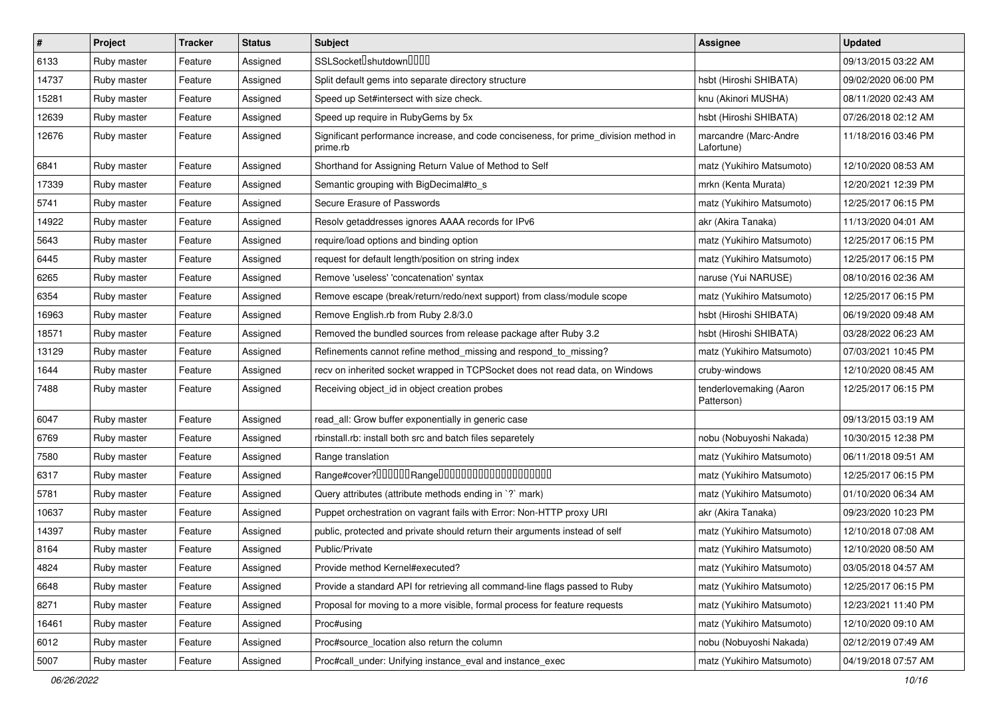| $\sharp$ | Project     | <b>Tracker</b> | <b>Status</b> | Subject                                                                                          | <b>Assignee</b>                       | <b>Updated</b>      |
|----------|-------------|----------------|---------------|--------------------------------------------------------------------------------------------------|---------------------------------------|---------------------|
| 6133     | Ruby master | Feature        | Assigned      | SSLSocket <sup>[</sup> shutdown <sup>[101]</sup>                                                 |                                       | 09/13/2015 03:22 AM |
| 14737    | Ruby master | Feature        | Assigned      | Split default gems into separate directory structure                                             | hsbt (Hiroshi SHIBATA)                | 09/02/2020 06:00 PM |
| 15281    | Ruby master | Feature        | Assigned      | Speed up Set#intersect with size check.                                                          | knu (Akinori MUSHA)                   | 08/11/2020 02:43 AM |
| 12639    | Ruby master | Feature        | Assigned      | Speed up require in RubyGems by 5x                                                               | hsbt (Hiroshi SHIBATA)                | 07/26/2018 02:12 AM |
| 12676    | Ruby master | Feature        | Assigned      | Significant performance increase, and code conciseness, for prime_division method in<br>prime.rb | marcandre (Marc-Andre<br>Lafortune)   | 11/18/2016 03:46 PM |
| 6841     | Ruby master | Feature        | Assigned      | Shorthand for Assigning Return Value of Method to Self                                           | matz (Yukihiro Matsumoto)             | 12/10/2020 08:53 AM |
| 17339    | Ruby master | Feature        | Assigned      | Semantic grouping with BigDecimal#to_s                                                           | mrkn (Kenta Murata)                   | 12/20/2021 12:39 PM |
| 5741     | Ruby master | Feature        | Assigned      | Secure Erasure of Passwords                                                                      | matz (Yukihiro Matsumoto)             | 12/25/2017 06:15 PM |
| 14922    | Ruby master | Feature        | Assigned      | Resolv getaddresses ignores AAAA records for IPv6                                                | akr (Akira Tanaka)                    | 11/13/2020 04:01 AM |
| 5643     | Ruby master | Feature        | Assigned      | require/load options and binding option                                                          | matz (Yukihiro Matsumoto)             | 12/25/2017 06:15 PM |
| 6445     | Ruby master | Feature        | Assigned      | request for default length/position on string index                                              | matz (Yukihiro Matsumoto)             | 12/25/2017 06:15 PM |
| 6265     | Ruby master | Feature        | Assigned      | Remove 'useless' 'concatenation' syntax                                                          | naruse (Yui NARUSE)                   | 08/10/2016 02:36 AM |
| 6354     | Ruby master | Feature        | Assigned      | Remove escape (break/return/redo/next support) from class/module scope                           | matz (Yukihiro Matsumoto)             | 12/25/2017 06:15 PM |
| 16963    | Ruby master | Feature        | Assigned      | Remove English.rb from Ruby 2.8/3.0                                                              | hsbt (Hiroshi SHIBATA)                | 06/19/2020 09:48 AM |
| 18571    | Ruby master | Feature        | Assigned      | Removed the bundled sources from release package after Ruby 3.2                                  | hsbt (Hiroshi SHIBATA)                | 03/28/2022 06:23 AM |
| 13129    | Ruby master | Feature        | Assigned      | Refinements cannot refine method_missing and respond_to_missing?                                 | matz (Yukihiro Matsumoto)             | 07/03/2021 10:45 PM |
| 1644     | Ruby master | Feature        | Assigned      | recv on inherited socket wrapped in TCPSocket does not read data, on Windows                     | cruby-windows                         | 12/10/2020 08:45 AM |
| 7488     | Ruby master | Feature        | Assigned      | Receiving object_id in object creation probes                                                    | tenderlovemaking (Aaron<br>Patterson) | 12/25/2017 06:15 PM |
| 6047     | Ruby master | Feature        | Assigned      | read_all: Grow buffer exponentially in generic case                                              |                                       | 09/13/2015 03:19 AM |
| 6769     | Ruby master | Feature        | Assigned      | rbinstall.rb: install both src and batch files separetely                                        | nobu (Nobuyoshi Nakada)               | 10/30/2015 12:38 PM |
| 7580     | Ruby master | Feature        | Assigned      | Range translation                                                                                | matz (Yukihiro Matsumoto)             | 06/11/2018 09:51 AM |
| 6317     | Ruby master | Feature        | Assigned      | Range#cover?000000Range00000000000000000000                                                      | matz (Yukihiro Matsumoto)             | 12/25/2017 06:15 PM |
| 5781     | Ruby master | Feature        | Assigned      | Query attributes (attribute methods ending in `?` mark)                                          | matz (Yukihiro Matsumoto)             | 01/10/2020 06:34 AM |
| 10637    | Ruby master | Feature        | Assigned      | Puppet orchestration on vagrant fails with Error: Non-HTTP proxy URI                             | akr (Akira Tanaka)                    | 09/23/2020 10:23 PM |
| 14397    | Ruby master | Feature        | Assigned      | public, protected and private should return their arguments instead of self                      | matz (Yukihiro Matsumoto)             | 12/10/2018 07:08 AM |
| 8164     | Ruby master | Feature        | Assigned      | Public/Private                                                                                   | matz (Yukihiro Matsumoto)             | 12/10/2020 08:50 AM |
| 4824     | Ruby master | Feature        | Assigned      | Provide method Kernel#executed?                                                                  | matz (Yukihiro Matsumoto)             | 03/05/2018 04:57 AM |
| 6648     | Ruby master | Feature        | Assigned      | Provide a standard API for retrieving all command-line flags passed to Ruby                      | matz (Yukihiro Matsumoto)             | 12/25/2017 06:15 PM |
| 8271     | Ruby master | Feature        | Assigned      | Proposal for moving to a more visible, formal process for feature requests                       | matz (Yukihiro Matsumoto)             | 12/23/2021 11:40 PM |
| 16461    | Ruby master | Feature        | Assigned      | Proc#using                                                                                       | matz (Yukihiro Matsumoto)             | 12/10/2020 09:10 AM |
| 6012     | Ruby master | Feature        | Assigned      | Proc#source location also return the column                                                      | nobu (Nobuyoshi Nakada)               | 02/12/2019 07:49 AM |
| 5007     | Ruby master | Feature        | Assigned      | Proc#call_under: Unifying instance_eval and instance_exec                                        | matz (Yukihiro Matsumoto)             | 04/19/2018 07:57 AM |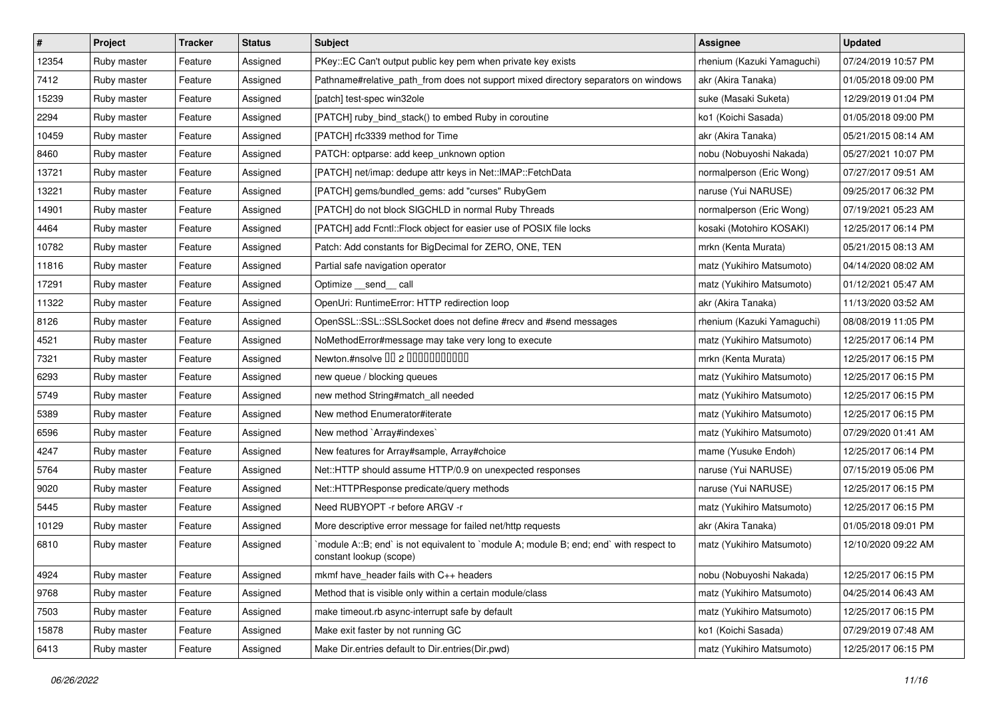| $\vert$ # | Project     | <b>Tracker</b> | <b>Status</b> | Subject                                                                                                          | <b>Assignee</b>            | <b>Updated</b>      |
|-----------|-------------|----------------|---------------|------------------------------------------------------------------------------------------------------------------|----------------------------|---------------------|
| 12354     | Ruby master | Feature        | Assigned      | PKey::EC Can't output public key pem when private key exists                                                     | rhenium (Kazuki Yamaguchi) | 07/24/2019 10:57 PM |
| 7412      | Ruby master | Feature        | Assigned      | Pathname#relative_path_from does not support mixed directory separators on windows                               | akr (Akira Tanaka)         | 01/05/2018 09:00 PM |
| 15239     | Ruby master | Feature        | Assigned      | [patch] test-spec win32ole                                                                                       | suke (Masaki Suketa)       | 12/29/2019 01:04 PM |
| 2294      | Ruby master | Feature        | Assigned      | [PATCH] ruby_bind_stack() to embed Ruby in coroutine                                                             | ko1 (Koichi Sasada)        | 01/05/2018 09:00 PM |
| 10459     | Ruby master | Feature        | Assigned      | [PATCH] rfc3339 method for Time                                                                                  | akr (Akira Tanaka)         | 05/21/2015 08:14 AM |
| 8460      | Ruby master | Feature        | Assigned      | PATCH: optparse: add keep_unknown option                                                                         | nobu (Nobuyoshi Nakada)    | 05/27/2021 10:07 PM |
| 13721     | Ruby master | Feature        | Assigned      | [PATCH] net/imap: dedupe attr keys in Net::IMAP::FetchData                                                       | normalperson (Eric Wong)   | 07/27/2017 09:51 AM |
| 13221     | Ruby master | Feature        | Assigned      | [PATCH] gems/bundled_gems: add "curses" RubyGem                                                                  | naruse (Yui NARUSE)        | 09/25/2017 06:32 PM |
| 14901     | Ruby master | Feature        | Assigned      | [PATCH] do not block SIGCHLD in normal Ruby Threads                                                              | normalperson (Eric Wong)   | 07/19/2021 05:23 AM |
| 4464      | Ruby master | Feature        | Assigned      | [PATCH] add Fcntl::Flock object for easier use of POSIX file locks                                               | kosaki (Motohiro KOSAKI)   | 12/25/2017 06:14 PM |
| 10782     | Ruby master | Feature        | Assigned      | Patch: Add constants for BigDecimal for ZERO, ONE, TEN                                                           | mrkn (Kenta Murata)        | 05/21/2015 08:13 AM |
| 11816     | Ruby master | Feature        | Assigned      | Partial safe navigation operator                                                                                 | matz (Yukihiro Matsumoto)  | 04/14/2020 08:02 AM |
| 17291     | Ruby master | Feature        | Assigned      | Optimize __send__ call                                                                                           | matz (Yukihiro Matsumoto)  | 01/12/2021 05:47 AM |
| 11322     | Ruby master | Feature        | Assigned      | OpenUri: RuntimeError: HTTP redirection loop                                                                     | akr (Akira Tanaka)         | 11/13/2020 03:52 AM |
| 8126      | Ruby master | Feature        | Assigned      | OpenSSL::SSL::SSLSocket does not define #recv and #send messages                                                 | rhenium (Kazuki Yamaguchi) | 08/08/2019 11:05 PM |
| 4521      | Ruby master | Feature        | Assigned      | NoMethodError#message may take very long to execute                                                              | matz (Yukihiro Matsumoto)  | 12/25/2017 06:14 PM |
| 7321      | Ruby master | Feature        | Assigned      | Newton.#nsolve 00 2 0000000000                                                                                   | mrkn (Kenta Murata)        | 12/25/2017 06:15 PM |
| 6293      | Ruby master | Feature        | Assigned      | new queue / blocking queues                                                                                      | matz (Yukihiro Matsumoto)  | 12/25/2017 06:15 PM |
| 5749      | Ruby master | Feature        | Assigned      | new method String#match_all needed                                                                               | matz (Yukihiro Matsumoto)  | 12/25/2017 06:15 PM |
| 5389      | Ruby master | Feature        | Assigned      | New method Enumerator#iterate                                                                                    | matz (Yukihiro Matsumoto)  | 12/25/2017 06:15 PM |
| 6596      | Ruby master | Feature        | Assigned      | New method `Array#indexes`                                                                                       | matz (Yukihiro Matsumoto)  | 07/29/2020 01:41 AM |
| 4247      | Ruby master | Feature        | Assigned      | New features for Array#sample, Array#choice                                                                      | mame (Yusuke Endoh)        | 12/25/2017 06:14 PM |
| 5764      | Ruby master | Feature        | Assigned      | Net::HTTP should assume HTTP/0.9 on unexpected responses                                                         | naruse (Yui NARUSE)        | 07/15/2019 05:06 PM |
| 9020      | Ruby master | Feature        | Assigned      | Net::HTTPResponse predicate/query methods                                                                        | naruse (Yui NARUSE)        | 12/25/2017 06:15 PM |
| 5445      | Ruby master | Feature        | Assigned      | Need RUBYOPT - r before ARGV - r                                                                                 | matz (Yukihiro Matsumoto)  | 12/25/2017 06:15 PM |
| 10129     | Ruby master | Feature        | Assigned      | More descriptive error message for failed net/http requests                                                      | akr (Akira Tanaka)         | 01/05/2018 09:01 PM |
| 6810      | Ruby master | Feature        | Assigned      | module A::B; end` is not equivalent to `module A; module B; end; end` with respect to<br>constant lookup (scope) | matz (Yukihiro Matsumoto)  | 12/10/2020 09:22 AM |
| 4924      | Ruby master | Feature        | Assigned      | mkmf have_header fails with C++ headers                                                                          | nobu (Nobuyoshi Nakada)    | 12/25/2017 06:15 PM |
| 9768      | Ruby master | Feature        | Assigned      | Method that is visible only within a certain module/class                                                        | matz (Yukihiro Matsumoto)  | 04/25/2014 06:43 AM |
| 7503      | Ruby master | Feature        | Assigned      | make timeout.rb async-interrupt safe by default                                                                  | matz (Yukihiro Matsumoto)  | 12/25/2017 06:15 PM |
| 15878     | Ruby master | Feature        | Assigned      | Make exit faster by not running GC                                                                               | ko1 (Koichi Sasada)        | 07/29/2019 07:48 AM |
| 6413      | Ruby master | Feature        | Assigned      | Make Dir.entries default to Dir.entries(Dir.pwd)                                                                 | matz (Yukihiro Matsumoto)  | 12/25/2017 06:15 PM |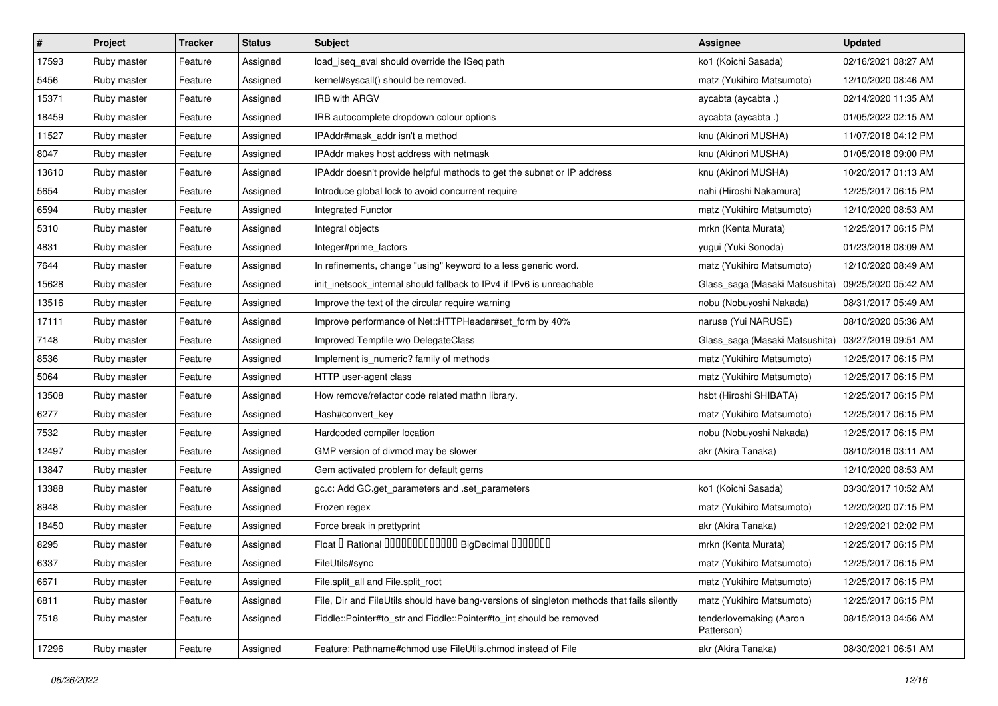| $\vert$ # | Project     | <b>Tracker</b> | <b>Status</b> | Subject                                                                                    | Assignee                              | <b>Updated</b>      |
|-----------|-------------|----------------|---------------|--------------------------------------------------------------------------------------------|---------------------------------------|---------------------|
| 17593     | Ruby master | Feature        | Assigned      | load_iseq_eval should override the ISeq path                                               | ko1 (Koichi Sasada)                   | 02/16/2021 08:27 AM |
| 5456      | Ruby master | Feature        | Assigned      | kernel#syscall() should be removed.                                                        | matz (Yukihiro Matsumoto)             | 12/10/2020 08:46 AM |
| 15371     | Ruby master | Feature        | Assigned      | <b>IRB with ARGV</b>                                                                       | aycabta (aycabta.)                    | 02/14/2020 11:35 AM |
| 18459     | Ruby master | Feature        | Assigned      | IRB autocomplete dropdown colour options                                                   | aycabta (aycabta.)                    | 01/05/2022 02:15 AM |
| 11527     | Ruby master | Feature        | Assigned      | IPAddr#mask_addr isn't a method                                                            | knu (Akinori MUSHA)                   | 11/07/2018 04:12 PM |
| 8047      | Ruby master | Feature        | Assigned      | IPAddr makes host address with netmask                                                     | knu (Akinori MUSHA)                   | 01/05/2018 09:00 PM |
| 13610     | Ruby master | Feature        | Assigned      | IPAddr doesn't provide helpful methods to get the subnet or IP address                     | knu (Akinori MUSHA)                   | 10/20/2017 01:13 AM |
| 5654      | Ruby master | Feature        | Assigned      | Introduce global lock to avoid concurrent require                                          | nahi (Hiroshi Nakamura)               | 12/25/2017 06:15 PM |
| 6594      | Ruby master | Feature        | Assigned      | Integrated Functor                                                                         | matz (Yukihiro Matsumoto)             | 12/10/2020 08:53 AM |
| 5310      | Ruby master | Feature        | Assigned      | Integral objects                                                                           | mrkn (Kenta Murata)                   | 12/25/2017 06:15 PM |
| 4831      | Ruby master | Feature        | Assigned      | Integer#prime_factors                                                                      | yugui (Yuki Sonoda)                   | 01/23/2018 08:09 AM |
| 7644      | Ruby master | Feature        | Assigned      | In refinements, change "using" keyword to a less generic word.                             | matz (Yukihiro Matsumoto)             | 12/10/2020 08:49 AM |
| 15628     | Ruby master | Feature        | Assigned      | init_inetsock_internal should fallback to IPv4 if IPv6 is unreachable                      | Glass_saga (Masaki Matsushita)        | 09/25/2020 05:42 AM |
| 13516     | Ruby master | Feature        | Assigned      | Improve the text of the circular require warning                                           | nobu (Nobuyoshi Nakada)               | 08/31/2017 05:49 AM |
| 17111     | Ruby master | Feature        | Assigned      | Improve performance of Net::HTTPHeader#set_form by 40%                                     | naruse (Yui NARUSE)                   | 08/10/2020 05:36 AM |
| 7148      | Ruby master | Feature        | Assigned      | Improved Tempfile w/o DelegateClass                                                        | Glass_saga (Masaki Matsushita)        | 03/27/2019 09:51 AM |
| 8536      | Ruby master | Feature        | Assigned      | Implement is_numeric? family of methods                                                    | matz (Yukihiro Matsumoto)             | 12/25/2017 06:15 PM |
| 5064      | Ruby master | Feature        | Assigned      | HTTP user-agent class                                                                      | matz (Yukihiro Matsumoto)             | 12/25/2017 06:15 PM |
| 13508     | Ruby master | Feature        | Assigned      | How remove/refactor code related mathn library.                                            | hsbt (Hiroshi SHIBATA)                | 12/25/2017 06:15 PM |
| 6277      | Ruby master | Feature        | Assigned      | Hash#convert_key                                                                           | matz (Yukihiro Matsumoto)             | 12/25/2017 06:15 PM |
| 7532      | Ruby master | Feature        | Assigned      | Hardcoded compiler location                                                                | nobu (Nobuyoshi Nakada)               | 12/25/2017 06:15 PM |
| 12497     | Ruby master | Feature        | Assigned      | GMP version of divmod may be slower                                                        | akr (Akira Tanaka)                    | 08/10/2016 03:11 AM |
| 13847     | Ruby master | Feature        | Assigned      | Gem activated problem for default gems                                                     |                                       | 12/10/2020 08:53 AM |
| 13388     | Ruby master | Feature        | Assigned      | gc.c: Add GC.get_parameters and .set_parameters                                            | ko1 (Koichi Sasada)                   | 03/30/2017 10:52 AM |
| 8948      | Ruby master | Feature        | Assigned      | Frozen regex                                                                               | matz (Yukihiro Matsumoto)             | 12/20/2020 07:15 PM |
| 18450     | Ruby master | Feature        | Assigned      | Force break in prettyprint                                                                 | akr (Akira Tanaka)                    | 12/29/2021 02:02 PM |
| 8295      | Ruby master | Feature        | Assigned      | Float I Rational 0000000000000 BigDecimal 0000000                                          | mrkn (Kenta Murata)                   | 12/25/2017 06:15 PM |
| 6337      | Ruby master | Feature        | Assigned      | FileUtils#sync                                                                             | matz (Yukihiro Matsumoto)             | 12/25/2017 06:15 PM |
| 6671      | Ruby master | Feature        | Assigned      | File.split all and File.split root                                                         | matz (Yukihiro Matsumoto)             | 12/25/2017 06:15 PM |
| 6811      | Ruby master | Feature        | Assigned      | File, Dir and FileUtils should have bang-versions of singleton methods that fails silently | matz (Yukihiro Matsumoto)             | 12/25/2017 06:15 PM |
| 7518      | Ruby master | Feature        | Assigned      | Fiddle::Pointer#to_str and Fiddle::Pointer#to_int should be removed                        | tenderlovemaking (Aaron<br>Patterson) | 08/15/2013 04:56 AM |
| 17296     | Ruby master | Feature        | Assigned      | Feature: Pathname#chmod use FileUtils.chmod instead of File                                | akr (Akira Tanaka)                    | 08/30/2021 06:51 AM |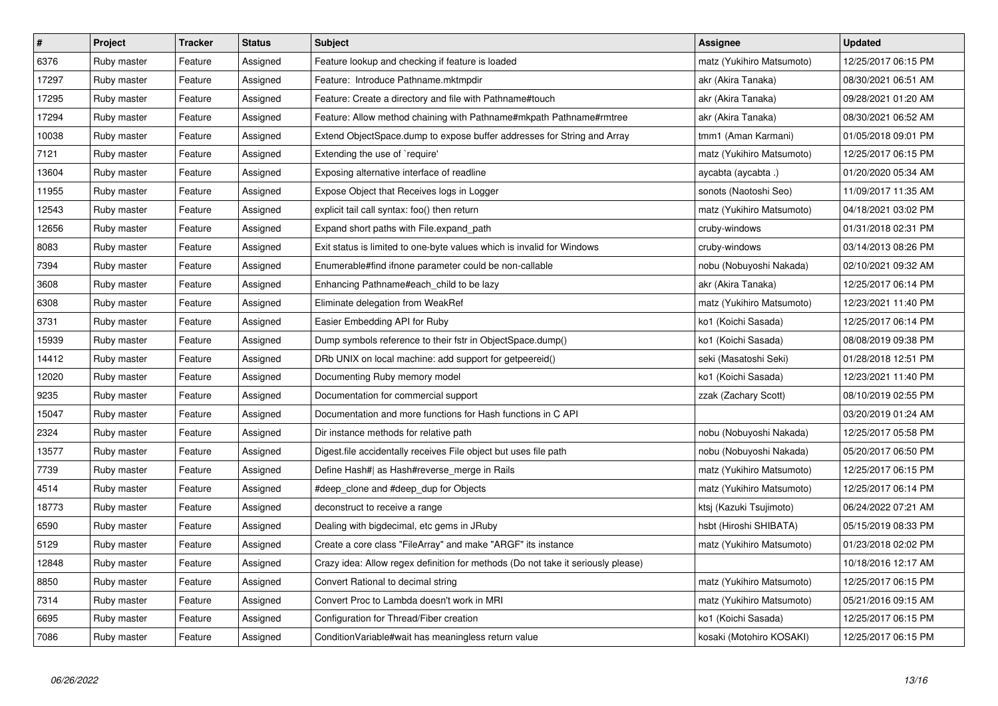| $\vert$ # | Project     | <b>Tracker</b> | <b>Status</b> | <b>Subject</b>                                                                   | <b>Assignee</b>           | <b>Updated</b>      |
|-----------|-------------|----------------|---------------|----------------------------------------------------------------------------------|---------------------------|---------------------|
| 6376      | Ruby master | Feature        | Assigned      | Feature lookup and checking if feature is loaded                                 | matz (Yukihiro Matsumoto) | 12/25/2017 06:15 PM |
| 17297     | Ruby master | Feature        | Assigned      | Feature: Introduce Pathname.mktmpdir                                             | akr (Akira Tanaka)        | 08/30/2021 06:51 AM |
| 17295     | Ruby master | Feature        | Assigned      | Feature: Create a directory and file with Pathname#touch                         | akr (Akira Tanaka)        | 09/28/2021 01:20 AM |
| 17294     | Ruby master | Feature        | Assigned      | Feature: Allow method chaining with Pathname#mkpath Pathname#rmtree              | akr (Akira Tanaka)        | 08/30/2021 06:52 AM |
| 10038     | Ruby master | Feature        | Assigned      | Extend ObjectSpace.dump to expose buffer addresses for String and Array          | tmm1 (Aman Karmani)       | 01/05/2018 09:01 PM |
| 7121      | Ruby master | Feature        | Assigned      | Extending the use of `require'                                                   | matz (Yukihiro Matsumoto) | 12/25/2017 06:15 PM |
| 13604     | Ruby master | Feature        | Assigned      | Exposing alternative interface of readline                                       | aycabta (aycabta.)        | 01/20/2020 05:34 AM |
| 11955     | Ruby master | Feature        | Assigned      | Expose Object that Receives logs in Logger                                       | sonots (Naotoshi Seo)     | 11/09/2017 11:35 AM |
| 12543     | Ruby master | Feature        | Assigned      | explicit tail call syntax: foo() then return                                     | matz (Yukihiro Matsumoto) | 04/18/2021 03:02 PM |
| 12656     | Ruby master | Feature        | Assigned      | Expand short paths with File.expand_path                                         | cruby-windows             | 01/31/2018 02:31 PM |
| 8083      | Ruby master | Feature        | Assigned      | Exit status is limited to one-byte values which is invalid for Windows           | cruby-windows             | 03/14/2013 08:26 PM |
| 7394      | Ruby master | Feature        | Assigned      | Enumerable#find ifnone parameter could be non-callable                           | nobu (Nobuyoshi Nakada)   | 02/10/2021 09:32 AM |
| 3608      | Ruby master | Feature        | Assigned      | Enhancing Pathname#each child to be lazy                                         | akr (Akira Tanaka)        | 12/25/2017 06:14 PM |
| 6308      | Ruby master | Feature        | Assigned      | Eliminate delegation from WeakRef                                                | matz (Yukihiro Matsumoto) | 12/23/2021 11:40 PM |
| 3731      | Ruby master | Feature        | Assigned      | Easier Embedding API for Ruby                                                    | ko1 (Koichi Sasada)       | 12/25/2017 06:14 PM |
| 15939     | Ruby master | Feature        | Assigned      | Dump symbols reference to their fstr in ObjectSpace.dump()                       | ko1 (Koichi Sasada)       | 08/08/2019 09:38 PM |
| 14412     | Ruby master | Feature        | Assigned      | DRb UNIX on local machine: add support for getpeereid()                          | seki (Masatoshi Seki)     | 01/28/2018 12:51 PM |
| 12020     | Ruby master | Feature        | Assigned      | Documenting Ruby memory model                                                    | ko1 (Koichi Sasada)       | 12/23/2021 11:40 PM |
| 9235      | Ruby master | Feature        | Assigned      | Documentation for commercial support                                             | zzak (Zachary Scott)      | 08/10/2019 02:55 PM |
| 15047     | Ruby master | Feature        | Assigned      | Documentation and more functions for Hash functions in C API                     |                           | 03/20/2019 01:24 AM |
| 2324      | Ruby master | Feature        | Assigned      | Dir instance methods for relative path                                           | nobu (Nobuyoshi Nakada)   | 12/25/2017 05:58 PM |
| 13577     | Ruby master | Feature        | Assigned      | Digest file accidentally receives File object but uses file path                 | nobu (Nobuyoshi Nakada)   | 05/20/2017 06:50 PM |
| 7739      | Ruby master | Feature        | Assigned      | Define Hash#  as Hash#reverse_merge in Rails                                     | matz (Yukihiro Matsumoto) | 12/25/2017 06:15 PM |
| 4514      | Ruby master | Feature        | Assigned      | #deep_clone and #deep_dup for Objects                                            | matz (Yukihiro Matsumoto) | 12/25/2017 06:14 PM |
| 18773     | Ruby master | Feature        | Assigned      | deconstruct to receive a range                                                   | ktsj (Kazuki Tsujimoto)   | 06/24/2022 07:21 AM |
| 6590      | Ruby master | Feature        | Assigned      | Dealing with bigdecimal, etc gems in JRuby                                       | hsbt (Hiroshi SHIBATA)    | 05/15/2019 08:33 PM |
| 5129      | Ruby master | Feature        | Assigned      | Create a core class "FileArray" and make "ARGF" its instance                     | matz (Yukihiro Matsumoto) | 01/23/2018 02:02 PM |
| 12848     | Ruby master | Feature        | Assigned      | Crazy idea: Allow regex definition for methods (Do not take it seriously please) |                           | 10/18/2016 12:17 AM |
| 8850      | Ruby master | Feature        | Assigned      | Convert Rational to decimal string                                               | matz (Yukihiro Matsumoto) | 12/25/2017 06:15 PM |
| 7314      | Ruby master | Feature        | Assigned      | Convert Proc to Lambda doesn't work in MRI                                       | matz (Yukihiro Matsumoto) | 05/21/2016 09:15 AM |
| 6695      | Ruby master | Feature        | Assigned      | Configuration for Thread/Fiber creation                                          | ko1 (Koichi Sasada)       | 12/25/2017 06:15 PM |
| 7086      | Ruby master | Feature        | Assigned      | Condition Variable#wait has meaningless return value                             | kosaki (Motohiro KOSAKI)  | 12/25/2017 06:15 PM |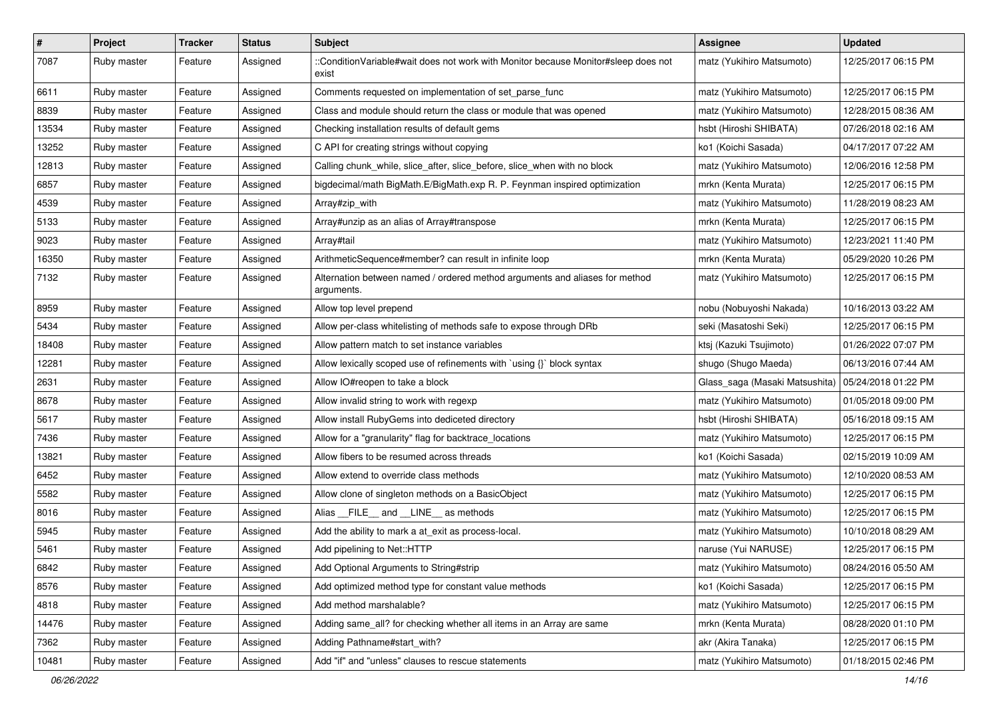| $\vert$ # | Project     | <b>Tracker</b> | <b>Status</b> | <b>Subject</b>                                                                              | <b>Assignee</b>                | <b>Updated</b>      |
|-----------|-------------|----------------|---------------|---------------------------------------------------------------------------------------------|--------------------------------|---------------------|
| 7087      | Ruby master | Feature        | Assigned      | ::ConditionVariable#wait does not work with Monitor because Monitor#sleep does not<br>exist | matz (Yukihiro Matsumoto)      | 12/25/2017 06:15 PM |
| 6611      | Ruby master | Feature        | Assigned      | Comments requested on implementation of set_parse_func                                      | matz (Yukihiro Matsumoto)      | 12/25/2017 06:15 PM |
| 8839      | Ruby master | Feature        | Assigned      | Class and module should return the class or module that was opened                          | matz (Yukihiro Matsumoto)      | 12/28/2015 08:36 AM |
| 13534     | Ruby master | Feature        | Assigned      | Checking installation results of default gems                                               | hsbt (Hiroshi SHIBATA)         | 07/26/2018 02:16 AM |
| 13252     | Ruby master | Feature        | Assigned      | C API for creating strings without copying                                                  | ko1 (Koichi Sasada)            | 04/17/2017 07:22 AM |
| 12813     | Ruby master | Feature        | Assigned      | Calling chunk_while, slice_after, slice_before, slice_when with no block                    | matz (Yukihiro Matsumoto)      | 12/06/2016 12:58 PM |
| 6857      | Ruby master | Feature        | Assigned      | bigdecimal/math BigMath.E/BigMath.exp R. P. Feynman inspired optimization                   | mrkn (Kenta Murata)            | 12/25/2017 06:15 PM |
| 4539      | Ruby master | Feature        | Assigned      | Array#zip_with                                                                              | matz (Yukihiro Matsumoto)      | 11/28/2019 08:23 AM |
| 5133      | Ruby master | Feature        | Assigned      | Array#unzip as an alias of Array#transpose                                                  | mrkn (Kenta Murata)            | 12/25/2017 06:15 PM |
| 9023      | Ruby master | Feature        | Assigned      | Array#tail                                                                                  | matz (Yukihiro Matsumoto)      | 12/23/2021 11:40 PM |
| 16350     | Ruby master | Feature        | Assigned      | ArithmeticSequence#member? can result in infinite loop                                      | mrkn (Kenta Murata)            | 05/29/2020 10:26 PM |
| 7132      | Ruby master | Feature        | Assigned      | Alternation between named / ordered method arguments and aliases for method<br>arguments.   | matz (Yukihiro Matsumoto)      | 12/25/2017 06:15 PM |
| 8959      | Ruby master | Feature        | Assigned      | Allow top level prepend                                                                     | nobu (Nobuyoshi Nakada)        | 10/16/2013 03:22 AM |
| 5434      | Ruby master | Feature        | Assigned      | Allow per-class whitelisting of methods safe to expose through DRb                          | seki (Masatoshi Seki)          | 12/25/2017 06:15 PM |
| 18408     | Ruby master | Feature        | Assigned      | Allow pattern match to set instance variables                                               | ktsj (Kazuki Tsujimoto)        | 01/26/2022 07:07 PM |
| 12281     | Ruby master | Feature        | Assigned      | Allow lexically scoped use of refinements with `using {}` block syntax                      | shugo (Shugo Maeda)            | 06/13/2016 07:44 AM |
| 2631      | Ruby master | Feature        | Assigned      | Allow IO#reopen to take a block                                                             | Glass_saga (Masaki Matsushita) | 05/24/2018 01:22 PM |
| 8678      | Ruby master | Feature        | Assigned      | Allow invalid string to work with regexp                                                    | matz (Yukihiro Matsumoto)      | 01/05/2018 09:00 PM |
| 5617      | Ruby master | Feature        | Assigned      | Allow install RubyGems into dediceted directory                                             | hsbt (Hiroshi SHIBATA)         | 05/16/2018 09:15 AM |
| 7436      | Ruby master | Feature        | Assigned      | Allow for a "granularity" flag for backtrace_locations                                      | matz (Yukihiro Matsumoto)      | 12/25/2017 06:15 PM |
| 13821     | Ruby master | Feature        | Assigned      | Allow fibers to be resumed across threads                                                   | ko1 (Koichi Sasada)            | 02/15/2019 10:09 AM |
| 6452      | Ruby master | Feature        | Assigned      | Allow extend to override class methods                                                      | matz (Yukihiro Matsumoto)      | 12/10/2020 08:53 AM |
| 5582      | Ruby master | Feature        | Assigned      | Allow clone of singleton methods on a BasicObject                                           | matz (Yukihiro Matsumoto)      | 12/25/2017 06:15 PM |
| 8016      | Ruby master | Feature        | Assigned      | Alias FILE and LINE as methods                                                              | matz (Yukihiro Matsumoto)      | 12/25/2017 06:15 PM |
| 5945      | Ruby master | Feature        | Assigned      | Add the ability to mark a at_exit as process-local.                                         | matz (Yukihiro Matsumoto)      | 10/10/2018 08:29 AM |
| 5461      | Ruby master | Feature        | Assigned      | Add pipelining to Net::HTTP                                                                 | naruse (Yui NARUSE)            | 12/25/2017 06:15 PM |
| 6842      | Ruby master | Feature        | Assigned      | Add Optional Arguments to String#strip                                                      | matz (Yukihiro Matsumoto)      | 08/24/2016 05:50 AM |
| 8576      | Ruby master | Feature        | Assigned      | Add optimized method type for constant value methods                                        | ko1 (Koichi Sasada)            | 12/25/2017 06:15 PM |
| 4818      | Ruby master | Feature        | Assigned      | Add method marshalable?                                                                     | matz (Yukihiro Matsumoto)      | 12/25/2017 06:15 PM |
| 14476     | Ruby master | Feature        | Assigned      | Adding same_all? for checking whether all items in an Array are same                        | mrkn (Kenta Murata)            | 08/28/2020 01:10 PM |
| 7362      | Ruby master | Feature        | Assigned      | Adding Pathname#start_with?                                                                 | akr (Akira Tanaka)             | 12/25/2017 06:15 PM |
| 10481     | Ruby master | Feature        | Assigned      | Add "if" and "unless" clauses to rescue statements                                          | matz (Yukihiro Matsumoto)      | 01/18/2015 02:46 PM |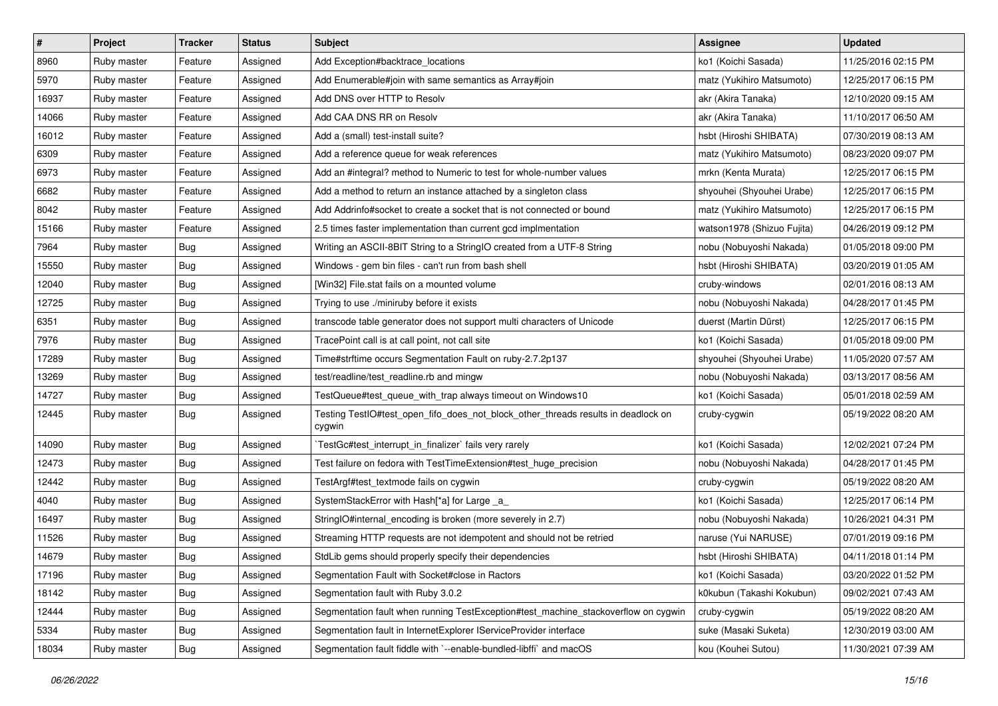| #     | Project     | <b>Tracker</b> | <b>Status</b> | Subject                                                                                     | <b>Assignee</b>            | <b>Updated</b>      |
|-------|-------------|----------------|---------------|---------------------------------------------------------------------------------------------|----------------------------|---------------------|
| 8960  | Ruby master | Feature        | Assigned      | Add Exception#backtrace_locations                                                           | ko1 (Koichi Sasada)        | 11/25/2016 02:15 PM |
| 5970  | Ruby master | Feature        | Assigned      | Add Enumerable#join with same semantics as Array#join                                       | matz (Yukihiro Matsumoto)  | 12/25/2017 06:15 PM |
| 16937 | Ruby master | Feature        | Assigned      | Add DNS over HTTP to Resolv                                                                 | akr (Akira Tanaka)         | 12/10/2020 09:15 AM |
| 14066 | Ruby master | Feature        | Assigned      | Add CAA DNS RR on Resolv                                                                    | akr (Akira Tanaka)         | 11/10/2017 06:50 AM |
| 16012 | Ruby master | Feature        | Assigned      | Add a (small) test-install suite?                                                           | hsbt (Hiroshi SHIBATA)     | 07/30/2019 08:13 AM |
| 6309  | Ruby master | Feature        | Assigned      | Add a reference queue for weak references                                                   | matz (Yukihiro Matsumoto)  | 08/23/2020 09:07 PM |
| 6973  | Ruby master | Feature        | Assigned      | Add an #integral? method to Numeric to test for whole-number values                         | mrkn (Kenta Murata)        | 12/25/2017 06:15 PM |
| 6682  | Ruby master | Feature        | Assigned      | Add a method to return an instance attached by a singleton class                            | shyouhei (Shyouhei Urabe)  | 12/25/2017 06:15 PM |
| 8042  | Ruby master | Feature        | Assigned      | Add Addrinfo#socket to create a socket that is not connected or bound                       | matz (Yukihiro Matsumoto)  | 12/25/2017 06:15 PM |
| 15166 | Ruby master | Feature        | Assigned      | 2.5 times faster implementation than current gcd implmentation                              | watson1978 (Shizuo Fujita) | 04/26/2019 09:12 PM |
| 7964  | Ruby master | <b>Bug</b>     | Assigned      | Writing an ASCII-8BIT String to a StringIO created from a UTF-8 String                      | nobu (Nobuyoshi Nakada)    | 01/05/2018 09:00 PM |
| 15550 | Ruby master | Bug            | Assigned      | Windows - gem bin files - can't run from bash shell                                         | hsbt (Hiroshi SHIBATA)     | 03/20/2019 01:05 AM |
| 12040 | Ruby master | <b>Bug</b>     | Assigned      | [Win32] File.stat fails on a mounted volume                                                 | cruby-windows              | 02/01/2016 08:13 AM |
| 12725 | Ruby master | <b>Bug</b>     | Assigned      | Trying to use ./miniruby before it exists                                                   | nobu (Nobuyoshi Nakada)    | 04/28/2017 01:45 PM |
| 6351  | Ruby master | Bug            | Assigned      | transcode table generator does not support multi characters of Unicode                      | duerst (Martin Dürst)      | 12/25/2017 06:15 PM |
| 7976  | Ruby master | <b>Bug</b>     | Assigned      | TracePoint call is at call point, not call site                                             | ko1 (Koichi Sasada)        | 01/05/2018 09:00 PM |
| 17289 | Ruby master | <b>Bug</b>     | Assigned      | Time#strftime occurs Segmentation Fault on ruby-2.7.2p137                                   | shyouhei (Shyouhei Urabe)  | 11/05/2020 07:57 AM |
| 13269 | Ruby master | Bug            | Assigned      | test/readline/test_readline.rb and mingw                                                    | nobu (Nobuyoshi Nakada)    | 03/13/2017 08:56 AM |
| 14727 | Ruby master | <b>Bug</b>     | Assigned      | TestQueue#test_queue_with_trap always timeout on Windows10                                  | ko1 (Koichi Sasada)        | 05/01/2018 02:59 AM |
| 12445 | Ruby master | <b>Bug</b>     | Assigned      | Testing TestIO#test_open_fifo_does_not_block_other_threads results in deadlock on<br>cygwin | cruby-cygwin               | 05/19/2022 08:20 AM |
| 14090 | Ruby master | <b>Bug</b>     | Assigned      | TestGc#test_interrupt_in_finalizer` fails very rarely                                       | ko1 (Koichi Sasada)        | 12/02/2021 07:24 PM |
| 12473 | Ruby master | Bug            | Assigned      | Test failure on fedora with TestTimeExtension#test_huge_precision                           | nobu (Nobuyoshi Nakada)    | 04/28/2017 01:45 PM |
| 12442 | Ruby master | <b>Bug</b>     | Assigned      | TestArgf#test_textmode fails on cygwin                                                      | cruby-cygwin               | 05/19/2022 08:20 AM |
| 4040  | Ruby master | <b>Bug</b>     | Assigned      | SystemStackError with Hash[*a] for Large _a_                                                | ko1 (Koichi Sasada)        | 12/25/2017 06:14 PM |
| 16497 | Ruby master | <b>Bug</b>     | Assigned      | StringIO#internal_encoding is broken (more severely in 2.7)                                 | nobu (Nobuyoshi Nakada)    | 10/26/2021 04:31 PM |
| 11526 | Ruby master | <b>Bug</b>     | Assigned      | Streaming HTTP requests are not idempotent and should not be retried                        | naruse (Yui NARUSE)        | 07/01/2019 09:16 PM |
| 14679 | Ruby master | <b>Bug</b>     | Assigned      | StdLib gems should properly specify their dependencies                                      | hsbt (Hiroshi SHIBATA)     | 04/11/2018 01:14 PM |
| 17196 | Ruby master | <b>Bug</b>     | Assigned      | Segmentation Fault with Socket#close in Ractors                                             | ko1 (Koichi Sasada)        | 03/20/2022 01:52 PM |
| 18142 | Ruby master | <b>Bug</b>     | Assigned      | Segmentation fault with Ruby 3.0.2                                                          | k0kubun (Takashi Kokubun)  | 09/02/2021 07:43 AM |
| 12444 | Ruby master | Bug            | Assigned      | Segmentation fault when running TestException#test_machine_stackoverflow on cygwin          | cruby-cygwin               | 05/19/2022 08:20 AM |
| 5334  | Ruby master | <b>Bug</b>     | Assigned      | Segmentation fault in InternetExplorer IServiceProvider interface                           | suke (Masaki Suketa)       | 12/30/2019 03:00 AM |
| 18034 | Ruby master | <b>Bug</b>     | Assigned      | Segmentation fault fiddle with `--enable-bundled-libffi` and macOS                          | kou (Kouhei Sutou)         | 11/30/2021 07:39 AM |